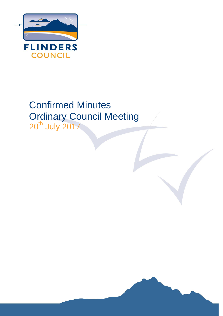

# Confirmed Minutes Ordinary Council Meeting

20<sup>th</sup> July 2017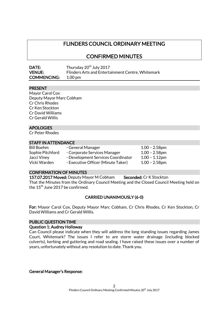# FLINDERS COUNCIL ORDINARY MEETING

CONFIRMED MINUTES

| <b>DATE:</b>       | Thursday 20 <sup>th</sup> July 2017               |
|--------------------|---------------------------------------------------|
| <b>VENUE:</b>      | Flinders Arts and Entertainment Centre, Whitemark |
| <b>COMMENCING:</b> | $1.00 \,\mathrm{pm}$                              |

# PRESENT

Mayor Carol Cox Deputy Mayor Marc Cobham Cr Chris Rhodes Cr Ken Stockton Cr David Williams Cr Gerald Willis

# APOLOGIES

Cr Peter Rhodes

# STAFF IN ATTENDANCE

Bill Boehm - General Manager 1.00 - 2.58pm Sophie Pitchford - Corporate Services Manager 1.00 - 2.58pm Jacci Viney - Development Services Coordinator 1.00 - 1.12pm Vicki Warden - Executive Officer (Minute Taker) 1.00 - 2.58pm

# CONFIRMATION OF MINUTES

157.07.2017 Moved: Deputy Mayor M Cobham Seconded: Cr K Stockton That the Minutes from the Ordinary Council Meeting and the Closed Council Meeting held on the  $15<sup>th</sup>$  June 2017 be confirmed.

# CARRIED UNANIMOUSLY (6-0)

For: Mayor Carol Cox, Deputy Mayor Marc Cobham, Cr Chris Rhodes, Cr Ken Stockton, Cr David Williams and Cr Gerald Willis.

# PUBLIC QUESTION TIME

# Question 1: Audrey Holloway

Can Council please indicate when they will address the long standing issues regarding James Court, Whitemark? The issues I refer to are storm water drainage (including blocked culverts), kerbing and guttering and road sealing. I have raised these issues over a number of years, unfortunately without any resolution to date. Thank you.

General Manager's Response: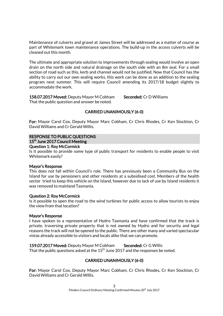Maintenance of culverts and gravel at James Street will be addressed as a matter of course as part of Whitemark town maintenance operations. The build-up in the access culverts will be cleaned out this month.

The ultimate and appropriate solution to improvements through sealing would involve an open drain on the north side and natural drainage on the south side with an 8m seal. For a small section of road such as this, kerb and channel would not be justified. Now that Council has the ability to carry out our own sealing works, this work can be done as an addition to the sealing program next summer. This will require Council amending its 2017/18 budget slightly to accommodate the work.

158.07.2017 Moved: Deputy Mayor M Cobham Seconded: Cr D Williams That the public question and answer be noted.

# CARRIED UNANIMOUSLY (6-0)

For: Mayor Carol Cox, Deputy Mayor Marc Cobham, Cr Chris Rhodes, Cr Ken Stockton, Cr David Williams and Cr Gerald Willis.

# RESPONSE TO PUBLIC QUESTIONS

15<sup>th</sup> June 2017 Council Meeting

## Question 1: Roy McCormick

Is it possible to provide some type of public transport for residents to enable people to visit Whitemark easily?

# Mayor's Response

This does not fall within Council's role. There has previously been a Community Bus on the Island for use by pensioners and other residents at a subsidised cost. Members of the health sector tried to keep this vehicle on the Island, however due to lack of use by Island residents it was removed to mainland Tasmania.

# Question 2: Roy McCormick

Is it possible to open the road to the wind turbines for public access to allow tourists to enjoy the view from that location?

# Mayor's Response

I have spoken to a representative of Hydro Tasmania and have confirmed that the track is private, traversing private property that is not owned by Hydro and for security and legal reasons the track will not be opened to the public. There are other many and varied spectacular vistas already accessible to visitors and locals alike that we can promote.

159.07.2017 Moved: Deputy Mayor M Cobham Seconded: Cr G Willis That the public questions asked at the  $15<sup>th</sup>$  June 2017 and the responses be noted.

# CARRIED UNANIMOUSLY (6-0)

For: Mayor Carol Cox, Deputy Mayor Marc Cobham, Cr Chris Rhodes, Cr Ken Stockton, Cr David Williams and Cr Gerald Willis.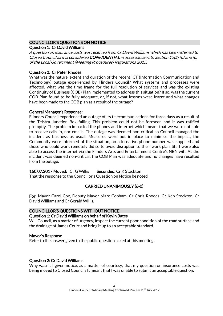# COUNCILLOR'S QUESTIONS ON NOTICE

# Question 1: Cr David Williams

A question on insurance costs was received from Cr David Williams which has been referred to Closed Council as it is considered CONFIDENTIAL in accordance with Section 15(2) (b) and (c) of the Local Government (Meeting Procedures) Regulations 2015.

# Question 2: Cr Peter Rhodes

What was the nature, extent and duration of the recent ICT (Information Communication and Technology) outage experienced by Flinders Council? What systems and processes were affected, what was the time frame for the full resolution of services and was the existing Continuity of Business (COB) Plan implemented to address this situation? If so, was the current COB Plan found to be fully adequate, or, if not, what lessons were learnt and what changes have been made to the COB plan as a result of the outage?

# General Manager's Response:

Flinders Council experienced an outage of its telecommunications for three days as a result of the Telstra Junction Box failing. This problem could not be foreseen and it was ratified promptly. The problem impacted the phones and internet which meant that we were not able to receive calls in, nor emails. The outage was deemed non-critical so Council managed the incident as business as usual. Measures were put in place to minimise the impact, the Community were informed of the situation, an alternative phone number was supplied and those who could work remotely did so to avoid disruption to their work plan. Staff were also able to access the internet via the Flinders Arts and Entertainment Centre's NBN wifi. As the incident was deemed non-critical, the COB Plan was adequate and no changes have resulted from the outage.

# 160.07.2017 Moved: Cr G Willis Seconded: Cr K Stockton

That the response to the Councillor's Question on Notice be noted.

# CARRIED UNANIMOUSLY (6-0)

For: Mayor Carol Cox, Deputy Mayor Marc Cobham, Cr Chris Rhodes, Cr Ken Stockton, Cr David Williams and Cr Gerald Willis.

# COUNCILLOR'S QUESTIONS WITHOUT NOTICE

# Question 1: Cr David Williams on behalf of Kevin Bates

Will Council, as a matter of urgency, inspect the current poor condition of the road surface and the drainage of James Court and bring it up to an acceptable standard.

# Mayor's Response

Refer to the answer given to the public question asked at this meeting.

# Question 2: Cr David Williams

Why wasn't I given notice, as a matter of courtesy, that my question on insurance costs was being moved to Closed Council? It meant that I was unable to submit an acceptable question.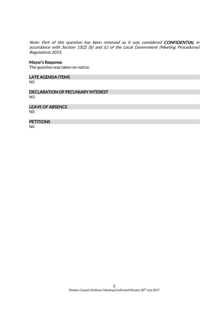Note: Part of this question has been removed as it was considered CONFIDENTIAL in accordance with Section 15(2) (b) and (c) of the Local Government (Meeting Procedures) Regulations 2015.

#### Mayor's Response

The question was taken on notice.

#### LATE AGENDA ITEMS

Nil

DECLARATION OF PECUNIARY INTEREST Nil

## LEAVE OF ABSENCE

Nil

# **PETITIONS**

Nil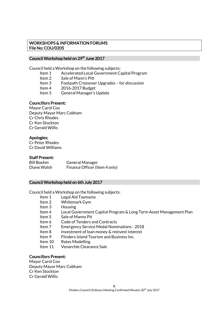# WORKSHOPS & INFORMATION FORUMS File No: COU/0205

# Council Workshop held on 29<sup>th</sup> June 2017

Council held a Workshop on the following subjects:

- Item 1 Accelerated Local Government Capital Program
- Item 2 Sale of Mann's Pitt
- Item 3 Footpath Crossover Upgrades for discussion
- Item 4 2016-2017 Budget
- Item 5 General Manager's Update

# Councillors Present:

Mayor Carol Cox Deputy Mayor Marc Cobham Cr Chris Rhodes Cr Ken Stockton Cr Gerald Willis

# Apologies:

Cr Peter Rhodes Cr David Williams

# Staff Present:

Bill Boehm General Manager Diane Walsh Finance Officer (Item 4 only)

# Council Workshop held on 6th July 2017

Council held a Workshop on the following subjects:

- Item 1 Legal Aid Tasmania
- Item 2 Whitemark Gym
- Item 3 Housing
- Item 4 Local Government Capital Program & Long Term Asset Management Plan
- Item 5 Sale of Manns Pit
- Item 6 Code of Tenders and Contracts
- Item 7 Emergency Service Medal Nominations 2018
- Item 8 Investment of loan money & reinvest interest
- Item 9 Flinders Island Tourism and Business Inc.
- Item 10 Rates Modelling
- Item 11 Venarchie Clearance Sale

# Councillors Present:

Mayor Carol Cox Deputy Mayor Marc Cobham Cr Ken Stockton Cr Gerald Willis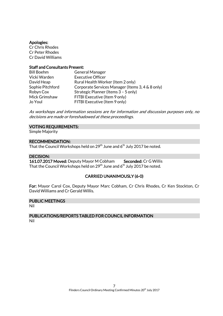## Apologies:

Cr Chris Rhodes Cr Peter Rhodes Cr David Williams

## Staff and Consultants Present:

| <b>Bill Boehm</b> | <b>General Manager</b>                           |
|-------------------|--------------------------------------------------|
| Vicki Warden      | <b>Executive Officer</b>                         |
| David Heap        | Rural Health Worker (Item 2 only)                |
| Sophie Pitchford  | Corporate Services Manager (Items 3, 4 & 8 only) |
| Robyn Cox         | Strategic Planner (Items 3 - 5 only)             |
| Mick Grimshaw     | FITBI Executive (Item 9 only)                    |
| Jo Youl           | FITBI Executive (Item 9 only)                    |

As workshops and information sessions are for information and discussion purposes only, no decisions are made or foreshadowed at these proceedings.

# VOTING REQUIREMENTS:

Simple Majority

## RECOMMENDATION:

That the Council Workshops held on 29 $^{\rm th}$  June and 6 $^{\rm th}$  July 2017 be noted.

# DECISION:

161.07.2017 Moved: Deputy Mayor M Cobham Seconded: Cr G Willis That the Council Workshops held on  $29<sup>th</sup>$  June and 6<sup>th</sup> July 2017 be noted.

# CARRIED UNANIMOUSLY (6-0)

For: Mayor Carol Cox, Deputy Mayor Marc Cobham, Cr Chris Rhodes, Cr Ken Stockton, Cr David Williams and Cr Gerald Willis.

# PUBLIC MEETINGS

Nil

# PUBLICATIONS/REPORTS TABLED FOR COUNCIL INFORMATION Nil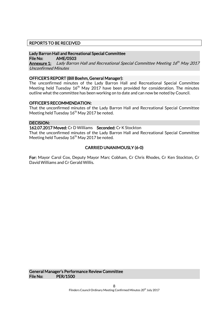# REPORTS TO BE RECEIVED

# Lady Barron Hall and Recreational Special Committee

File No: AME/0503

**<u>Annexure 1:</u>** Lady Barron Hall and Recreational Special Committee Meeting 16<sup>th</sup> May 2017 Unconfirmed Minutes

# OFFICER'S REPORT (Bill Boehm, General Manager):

The unconfirmed minutes of the Lady Barron Hall and Recreational Special Committee Meeting held Tuesday  $16<sup>th</sup>$  May 2017 have been provided for consideration. The minutes outline what the committee has been working on to date and can now be noted by Council.

# OFFICER'S RECOMMENDATION:

That the unconfirmed minutes of the Lady Barron Hall and Recreational Special Committee Meeting held Tuesday 16<sup>th</sup> May 2017 be noted.

## DECISION:

## 162.07.2017 Moved: Cr D Williams Seconded: Cr K Stockton

That the unconfirmed minutes of the Lady Barron Hall and Recreational Special Committee Meeting held Tuesday  $16<sup>th</sup>$  May 2017 be noted.

# CARRIED UNANIMOUSLY (6-0)

For: Mayor Carol Cox, Deputy Mayor Marc Cobham, Cr Chris Rhodes, Cr Ken Stockton, Cr David Williams and Cr Gerald Willis.

General Manager's Performance Review Committee File No: PER/1500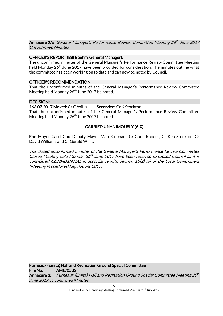**Annexure 2A:** General Manager's Performance Review Committee Meeting 26<sup>th</sup> June 2017 Unconfirmed Minutes

# OFFICER'S REPORT (Bill Boehm, General Manager):

The unconfirmed minutes of the General Manager's Performance Review Committee Meeting held Monday  $26<sup>th</sup>$  June 2017 have been provided for consideration. The minutes outline what the committee has been working on to date and can now be noted by Council.

# OFFICER'S RECOMMENDATION

That the unconfirmed minutes of the General Manager's Performance Review Committee Meeting held Monday 26<sup>th</sup> June 2017 be noted.

## DECISION:

# 163.07.2017 Moved: Cr G Willis Seconded: Cr K Stockton

That the unconfirmed minutes of the General Manager's Performance Review Committee Meeting held Monday 26<sup>th</sup> June 2017 be noted.

# CARRIED UNANIMOUSLY (6-0)

For: Mayor Carol Cox, Deputy Mayor Marc Cobham, Cr Chris Rhodes, Cr Ken Stockton, Cr David Williams and Cr Gerald Willis.

The closed unconfirmed minutes of the General Manager's Performance Review Committee Closed Meeting held Monday  $26^{th}$  June 2017 have been referred to Closed Council as it is considered CONFIDENTIAL in accordance with Section 15(2) (a) of the Local Government (Meeting Procedures) Regulations 2015.

Furneaux (Emita) Hall and Recreation Ground Special Committee File No: AME/0502 **Annexure 3:** Furneaux (Emita) Hall and Recreation Ground Special Committee Meeting 20<sup>th</sup> June 2017 Unconfirmed Minutes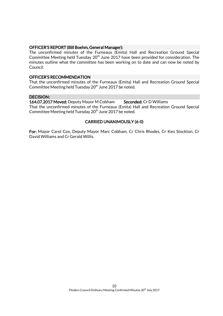## OFFICER'S REPORT (Bill Boehm, General Manager):

The unconfirmed minutes of the Furneaux (Emita) Hall and Recreation Ground Special Committee Meeting held Tuesday  $20<sup>th</sup>$  June 2017 have been provided for consideration. The minutes outline what the committee has been working on to date and can now be noted by Council.

# OFFICER'S RECOMMENDATION

That the unconfirmed minutes of the Furneaux (Emita) Hall and Recreation Ground Special Committee Meeting held Tuesday 20<sup>th</sup> June 2017 be noted.

# DECISION:

164.07.2017 Moved: Deputy Mayor M Cobham Seconded: Cr D Williams That the unconfirmed minutes of the Furneaux (Emita) Hall and Recreation Ground Special Committee Meeting held Tuesday 20<sup>th</sup> June 2017 be noted.

# CARRIED UNANIMOUSLY (6-0)

For: Mayor Carol Cox, Deputy Mayor Marc Cobham, Cr Chris Rhodes, Cr Ken Stockton, Cr David Williams and Cr Gerald Willis.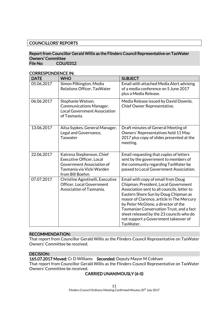# COUNCILLORS' REPORTS

# Report from Councillor Gerald Willis as the Flinders Council Representative on TasWater Owners' Committee

File No: COU/0312

## CORRESPONDENCE IN:

| <b>DATE</b> | <b>WHO</b>                                                                                                                                | <b>SUBJECT</b>                                                                                                                                                                                                                                                                                                                                                                                     |
|-------------|-------------------------------------------------------------------------------------------------------------------------------------------|----------------------------------------------------------------------------------------------------------------------------------------------------------------------------------------------------------------------------------------------------------------------------------------------------------------------------------------------------------------------------------------------------|
| 05.06.2017  | Simon Pilkington, Media<br>Relations Officer, TasWater                                                                                    | Email with attached Media Alert advising<br>of a media conference on 5 June 2017<br>plus a Media Release.                                                                                                                                                                                                                                                                                          |
| 06.06.2017  | Stephanie Watson,<br>Communications Manager,<br><b>Local Government Association</b><br>of Tasmania                                        | Media Release issued by David Downie,<br>Chief Owner Representative.                                                                                                                                                                                                                                                                                                                               |
| 13.06.2017  | Ailsa Sypkes, General Manager,<br>Legal and Governance,<br><b>Taswater</b>                                                                | Draft minutes of General Meeting of<br>Owners' Representatives held 11 May<br>2017 plus copy of slides presented at the<br>meeting.                                                                                                                                                                                                                                                                |
| 22.06.2017  | Katrena Stephenson, Chief<br><b>Executive Officer, Local</b><br>Government Association of<br>Tasmania via Vicki Warden<br>from Bill Boehm | Email requesting that copies of letters<br>sent by the government to members of<br>the community regarding TasWater be<br>passed to Local Government Association.                                                                                                                                                                                                                                  |
| 07.07.2017  | Christine Agostinelli, Executive<br>Officer, Local Government<br>Association of Tasmania.                                                 | Email with copy of email from Doug<br>Chipman, President, Local Government<br>Association sent to all councils, letter to<br>Eastern Shore Sun by Doug Chipman as<br>mayor of Clarence, article in The Mercury<br>by Peter McGlone, a director of the<br>Tasmanian Conservation Trust, and a fact<br>sheet released by the 23 councils who do<br>not support a Government takeover of<br>TasWater. |

## RECOMMENDATION:

That report from Councillor Gerald Willis as the Flinders Council Representative on TasWater Owners' Committee be received.

#### DECISION:

165.07.2017 Moved: Cr D Williams Seconded: Deputy Mayor M Cobham That report from Councillor Gerald Willis as the Flinders Council Representative on TasWater Owners' Committee be received.

# CARRIED UNANIMOUSLY (6-0)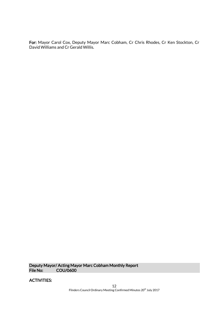For: Mayor Carol Cox, Deputy Mayor Marc Cobham, Cr Chris Rhodes, Cr Ken Stockton, Cr David Williams and Cr Gerald Willis.

Deputy Mayor/ Acting Mayor Marc Cobham Monthly Report COU/0600

ACTIVITIES: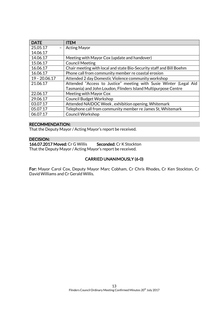| <b>DATE</b>     | <b>ITEM</b>                                                          |
|-----------------|----------------------------------------------------------------------|
| 25,05.17        | <b>Acting Mayor</b>                                                  |
| 14.06.17        |                                                                      |
| 14.06.17        | Meeting with Mayor Cox (update and handover)                         |
| 15.06.17        | <b>Council Meeting</b>                                               |
| 16.06.17        | Chair meeting with local and state Bio-Security staff and Bill Boehm |
| 16.06.17        | Phone call from community member re coastal erosion                  |
| $19 - 20.06.17$ | Attended 2 day Domestic Violence community workshop                  |
| 21.06.17        | Attended "Access to Justice" meeting with Susie Winter (Legal Aid    |
|                 | Tasmania) and John Loudon, Flinders Island Multipurpose Centre       |
| 22.06.17        | Meeting with Mayor Cox                                               |
| 29.06.17        | <b>Council Budget Workshop</b>                                       |
| 03.07.17        | Attended NAIDOC Week, exhibition opening, Whitemark                  |
| 05.07.17        | Telephone call from community member re James St, Whitemark          |
| 06.07.17        | <b>Council Workshop</b>                                              |

# RECOMMENDATION:

That the Deputy Mayor / Acting Mayor's report be received.

# DECISION:

166.07.2017 Moved: Cr G Willis Seconded: Cr K Stockton That the Deputy Mayor / Acting Mayor's report be received.

# CARRIED UNANIMOUSLY (6-0)

For: Mayor Carol Cox, Deputy Mayor Marc Cobham, Cr Chris Rhodes, Cr Ken Stockton, Cr David Williams and Cr Gerald Willis.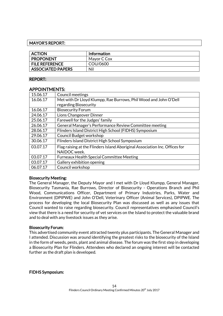# MAYOR'S REPORT:

| <b>ACTION</b>            | Information |
|--------------------------|-------------|
| <b>PROPONENT</b>         | Mayor C Cox |
| <b>FILE REFERENCE</b>    | COU/0600    |
| <b>ASSOCIATED PAPERS</b> | Nil         |

# REPORT:

# APPOINTMENTS:

| 15.06.17 | <b>Council meetings</b>                                                     |
|----------|-----------------------------------------------------------------------------|
| 16.06.17 | Met with Dr Lloyd Klumpp, Rae Burrows, Phil Wood and John O'Dell            |
|          | regarding Biosecurity                                                       |
| 16.06.17 | <b>Biosecurity Forum</b>                                                    |
| 24.06.17 | Lions Changeover Dinner                                                     |
| 25.06.17 | Farewell for the Judges' family                                             |
| 26.06.17 | General Manager's Performance Review Committee meeting                      |
| 28.06.17 | Flinders Island District High School (FIDHS) Symposium                      |
| 29.06.17 | Council Budget workshop                                                     |
| 30.06.17 | Flinders Island District High School Symposium                              |
| 03.07.17 | Flag raising at the Flinders Island Aboriginal Association Inc. Offices for |
|          | NAIDOC week.                                                                |
| 03.07.17 | <b>Furneaux Health Special Committee Meeting</b>                            |
| 03.07.17 | Gallery exhibition opening                                                  |
| 06.07.17 | Council workshop                                                            |

# Biosecurity Meeting:

The General Manager, the Deputy Mayor and I met with Dr Lloyd Klumpp, General Manager, Biosecurity Tasmania, Rae Burrows, Director of Biosecurity - Operations Branch and Phil Wood, Communications Officer, Department of Primary Industries, Parks, Water and Environment (DPIPWE) and John O'Dell, Veterinary Officer (Animal Services), DPIPWE. The process for developing the local Biosecurity Plan was discussed as well as any issues that Council wanted to raise regarding biosecurity. Council representatives emphasised Council's view that there is a need for security of vet services on the Island to protect the valuable brand and to deal with any livestock issues as they arise.

# Biosecurity Forum:

This advertised community event attracted twenty plus participants. The General Manager and I attended. Discussion was around identifying the greatest risks to the biosecurity of the Island in the form of weeds, pests, plant and animal disease. The forum was the first step in developing a Biosecurity Plan for Flinders. Attendees who declared an ongoing interest will be contacted further as the draft plan is developed.

# FIDHS Symposium: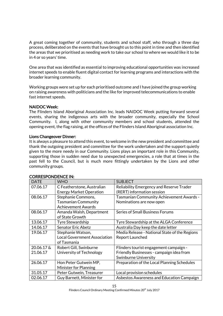A great coming together of community, students and school staff, who through a three day process, deliberated on the events that have brought us to this point in time and then identified the areas that we prioritised as needing work to take our school to where we would like it to be in 4 or so years' time.

One area that was identified as essential to improving educational opportunities was increased internet speeds to enable fluent digital contact for learning programs and interactions with the broader learning community.

Working groups were set up for each prioritised outcome and I have joined the group working on raising awareness with politicians and the like for improved telecommunications to enable fast internet speeds.

# NAIDOC Week:

The Flinders Island Aboriginal Association Inc. leads NAIDOC Week putting forward several events, sharing the indigenous arts with the broader community, especially the School Community. I, along with other community members and school students, attended the opening event, the flag raising, at the offices of the Flinders Island Aboriginal association Inc.

# Lions Changeover Dinner:

It is always a pleasure to attend this event, to welcome in the new president and committee and thank the outgoing president and committee for the work undertaken and the support quietly given to the more needy in our Community. Lions plays an important role in this Community, supporting those in sudden need due to unexpected emergencies, a role that at times in the past fell to the Council, but is much more fittingly undertaken by the Lions and other community groups.

| <b>DATE</b> | <b>WHO</b>                          | <b>SUBJECT</b>                                |
|-------------|-------------------------------------|-----------------------------------------------|
| 07.06.17    | C Featherstone, Australian          | Reliability Emergency and Reserve Trader      |
|             | <b>Energy Market Operation</b>      | (RERT) information session                    |
| 08.06.17    | Stephanie Commons,                  | Tasmanian Community Achievement Awards -      |
|             | <b>Tasmanian Community</b>          | Nominations are now open                      |
|             | <b>Achievement Awards</b>           |                                               |
| 08.06.17    | Amanda Walsh, Department            | <b>Series of Small Business Forums</b>        |
|             | of State Growth                     |                                               |
| 13.06.17    | Tyre Stewardship                    | Tyre Stewardship at the ALGA Conference       |
| 14.06.17    | <b>Senator Eric Abetz</b>           | Australia Day keep the date letter            |
| 19.06.17    | Stephanie Watson,                   | Media Release - National State of the Regions |
|             | <b>Local Government Association</b> | Report Launched                               |
|             | of Tasmania                         |                                               |
| 20.06.17 &  | Robert Gill, Swinburne              | Flinders tourist engagement campaign -        |
| 21.06.17    | University of Technology            | Friendly Businesses - campaign idea from      |
|             |                                     | <b>Swinburne University</b>                   |
| 26.06.17    | Hon Peter Gutwein MP,               | Preparation of the Local Planning Schedules   |
|             | Minister for Planning               |                                               |
| 31.05.17    | Peter Gutwein, Treasurer            | Local provision schedules                     |
| 02.06.17    | Guy Barnett, Minister for           | Asbestos Awareness and Education Campaign     |

# CORRESPONDENCE IN: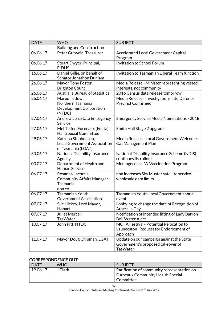| <b>DATE</b> | <b>WHO</b>                                                                       | <b>SUBJECT</b>                                                                                   |
|-------------|----------------------------------------------------------------------------------|--------------------------------------------------------------------------------------------------|
|             | <b>Building and Construction</b>                                                 |                                                                                                  |
| 06.06.17    | Peter Gutwein, Treasurer                                                         | <b>Accelerated Local Government Capital</b><br>Program                                           |
| 06.06.17    | Stuart Dwyer, Principal,<br><b>FIDHS</b>                                         | Invitation to School Forum                                                                       |
| 16.06.17    | Daniel Gillie, on behalf of<br>Senator Jonathon Duniam                           | Invitation to Tasmanian Liberal Team function                                                    |
| 26.06.17    | Mayor Tony Foster,<br><b>Brighton Council</b>                                    | Media Release - Minister representing vested<br>interests, not community                         |
| 26.06.17    | Australia Bureau of Statistics                                                   | 2016 Census data release tomorrow                                                                |
| 26.06.17    | Maree Tetlow,<br>Northern Tasmania<br>Development Corporation<br>(NTDC)          | Media Release: Investigations into Defence<br><b>Precinct Confirmed</b>                          |
| 27.06.17    | Andrew Lea, State Emergency<br>Service                                           | <b>Emergency Service Medal Nominations - 2018</b>                                                |
| 27.06.17    | Mel Telfer, Furneaux (Emita)<br><b>Hall Special Committee</b>                    | Emita Hall Stage 2 upgrade                                                                       |
| 29.06.17    | Katrena Stephenson,<br><b>Local Government Association</b><br>of Tasmania (LGAT) | Media Release - Local Government Welcomes<br><b>Cat Management Plan</b>                          |
| 30.06.17    | <b>National Disability Insurance</b><br>Agency                                   | National Disability Insurance Scheme (NDIS)<br>continues its rollout                             |
| 03.07.17    | Department of Health and<br><b>Human Services</b>                                | Meningococcal W Vaccination Program                                                              |
| 06.07.17    | Rosanna Lacorcia<br><b>Community Affairs Manager -</b><br>Tasmania<br>nbn co     | nbn increases Sky Muster satellite service<br>wholesale data limits                              |
| 06.07.17    | <b>Tasmanian Youth</b><br><b>Government Association</b>                          | Tasmanian Youth Local Government annual<br>event                                                 |
| 07.07.17    | Sue Hickey, Lord Mayor,<br>Hobart                                                | Lobbying to change the date of Recognition of<br>Australia Day                                   |
| 07.07.17    | Juliet Mercer,<br>TasWater                                                       | Notification of intended lifting of Lady Barron<br><b>Boil Water Alert</b>                       |
| 10.07.17    | John Pitt, NTDC                                                                  | MOFA Festival - Potential Relocation to<br>Launceston-Request for Endorsement of<br>Approach     |
| 11.07.17    | Mayor Doug Chipman, LGAT                                                         | Update on our campaign against the State<br>Government's proposed takeover of<br><b>TasWater</b> |

# CORRESPONDENCE OUT:

| <b>DATE</b> | <b>WHO</b> | <b>SUBJECT</b>                              |
|-------------|------------|---------------------------------------------|
| 19.06.17    | J Clark    | Ratification of community representation on |
|             |            | <b>Furneaux Community Health Special</b>    |
|             |            | Committee                                   |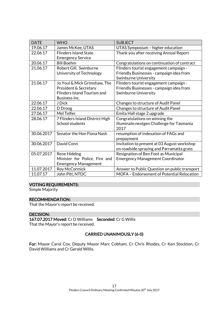| <b>DATE</b> | <b>WHO</b>                         | <b>SUBJECT</b>                                |
|-------------|------------------------------------|-----------------------------------------------|
| 19.06.17    | James McKee, UTAS                  | UTAS Symposium - higher education             |
| 22.06.17    | <b>Flinders Island State</b>       | Thank you after receiving Annual Report       |
|             | <b>Emergency Service</b>           |                                               |
| 20.06.17    | <b>Bill Boehm</b>                  | Congratulations on continuation of contract   |
| 21.06.17    | Robert Gill, Swinburne             | Flinders tourist engagement campaign -        |
|             | University of Technology           | Friendly Businesses - campaign idea from      |
|             |                                    | <b>Swinburne University</b>                   |
| 21.06.17    | Jo Youl & Mick Grimshaw, The       | Flinders tourist engagement campaign -        |
|             | President & Secretary              | Friendly Businesses - campaign idea from      |
|             | <b>Flinders Island Tourism and</b> | <b>Swinburne University</b>                   |
|             | Business Inc.                      |                                               |
| 22.06.17    | J Dick                             | Changes to structure of Audit Panel           |
| 22.06.17    | D Droog                            | Changes to structure of Audit Panel           |
| 27.06.17    | Mel Telfer                         | Emita Hall stage 2 upgrade                    |
| 28.06.17    | 7 Flinders Island District High    | Congratulations on winning the                |
|             | School students                    | illuminate:nextgen Challenge for Tasmania     |
|             |                                    | 2017                                          |
| 30.06.2017  | Senator the Hon Fiona Nash         | resumption of indexation of FAGs and          |
|             |                                    | prepayment                                    |
| 30.06.2017  | David Conn                         | Invitation to present at 03 August workshop   |
|             |                                    | on roadside spraying and Parramatta grass     |
| 05.07.2017  | <b>Rene Hidding</b>                | Resignation of Ben Foot as Municipal          |
|             | Minister for Police, Fire and      | <b>Emergency Management Coordinator</b>       |
|             | <b>Emergency Management</b>        |                                               |
| 11.07.2017  | Roy McCormick                      | Answer to Public Question on public transport |
| 11.07.17    | John Pitt, NTDC                    | MOFA - Endorsement of Potential Relocation    |

# VOTING REQUIREMENTS:

Simple Majority

# RECOMMENDATION:

That the Mayor's report be received.

# DECISION:

167.07.2017 Moved: Cr D Williams Seconded: Cr G Willis That the Mayor's report be received.

# CARRIED UNANIMOUSLY (6-0)

For: Mayor Carol Cox, Deputy Mayor Marc Cobham, Cr Chris Rhodes, Cr Ken Stockton, Cr David Williams and Cr Gerald Willis.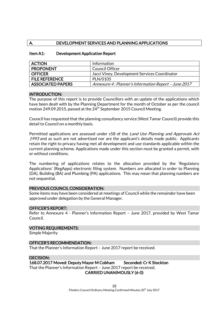# A. DEVELOPMENT SERVICES AND PLANNING APPLICATIONS

| <b>ACTION</b>            | Information                                          |
|--------------------------|------------------------------------------------------|
| <b>PROPONENT</b>         | <b>Council Officer</b>                               |
| <b>OFFICER</b>           | Jacci Viney, Development Services Coordinator        |
| <b>FILE REFERENCE</b>    | PLN/0105                                             |
| <b>ASSOCIATED PAPERS</b> | Annexure 4: Planner's Information Report - June 201. |

# Item A1: Development Application Report

#### INTRODUCTION:

The purpose of this report is to provide Councillors with an update of the applications which have been dealt with by the Planning Department for the month of October as per the council motion 249.09.2015, passed at the  $24^{th}$  September 2015 Council Meeting.

Council has requested that the planning consultancy service (West Tamar Council) provide this detail to Council on a monthly basis.

Permitted applications are assessed under s58 of the *Land Use Planning and Approvals Act* 1993 and as such are not advertised nor are the applicant's details made public. Applicants retain the right to privacy having met all development and use standards applicable within the current planning scheme. Applications made under this section must be granted a permit, with or without conditions.

The numbering of applications relates to the allocation provided by the 'Regulatory Applications' (RegApps) electronic filing system. Numbers are allocated in order to Planning (DA), Building (BA) and Plumbing (PA) applications. This may mean that planning numbers are not sequential.

#### PREVIOUS COUNCIL CONSIDERATION:

Some items may have been considered at meetings of Council while the remainder have been approved under delegation by the General Manager.

#### OFFICER'S REPORT:

Refer to Annexure 4 - Planner's Information Report – June 2017, provided by West Tamar Council.

#### VOTING REQUIREMENTS:

Simple Majority

#### OFFICER'S RECOMMENDATION:

That the Planner's Information Report – June 2017 report be received.

# DECISION:

168.07.2017 Moved: Deputy Mayor M Cobham Seconded: Cr K Stockton That the Planner's Information Report – June 2017 report be received. CARRIED UNANIMOUSLY (6-0)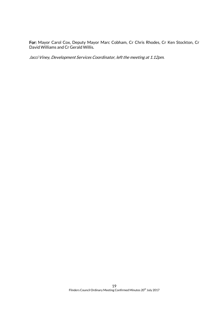For: Mayor Carol Cox, Deputy Mayor Marc Cobham, Cr Chris Rhodes, Cr Ken Stockton, Cr David Williams and Cr Gerald Willis.

Jacci Viney, Development Services Coordinator, left the meeting at 1.12pm.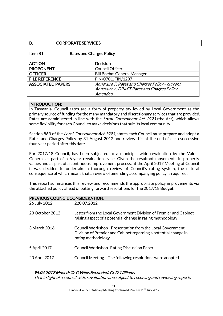# B. CORPORATE SERVICES

## Item B1: Rates and Charges Policy

| <b>ACTION</b>            | <b>Decision</b>                                |
|--------------------------|------------------------------------------------|
| <b>PROPONENT</b>         | <b>Council Officer</b>                         |
| <b>OFFICER</b>           | <b>Bill Boehm General Manager</b>              |
| <b>FILE REFERENCE</b>    | FIN/0701, FIN/1207                             |
| <b>ASSOCIATED PAPERS</b> | Annexure 5: Rates and Charges Policy - current |
|                          | Annexure 6: DRAFT Rates and Charges Policy -   |
|                          | Amended                                        |

#### INTRODUCTION:

In Tasmania, Council rates are a form of property tax levied by Local Government as the primary source of funding for the many mandatory and discretionary services that are provided. Rates are administered in line with the *Local Government Act 1993* (the Act), which allows some flexibility for each Council to make decisions that suit its local community.

Section 86B of the *Local Government Act 1993*, states each Council must prepare and adopt a Rates and Charges Policy by 31 August 2012 and review this at the end of each successive four-year period after this date.

For 2017/18 Council, has been subjected to a municipal wide revaluation by the Valuer General as part of a 6-year revaluation cycle. Given the resultant movements in property values and as part of a continuous improvement process, at the April 2017 Meeting of Council it was decided to undertake a thorough review of Council's rating system, the natural consequence of which means that a review of amending accompanying policy is required.

This report summarises this review and recommends the appropriate policy improvements via the attached policy ahead of putting forward resolutions for the 2017/18 Budget.

| <b>PREVIOUS COUNCIL CONSIDERATION:</b> |             |  |
|----------------------------------------|-------------|--|
| 26 July 2012                           | 220.07.2012 |  |

| ZU JUIY ZUIZ    | 220.07.ZU12                                                                                                                                        |
|-----------------|----------------------------------------------------------------------------------------------------------------------------------------------------|
| 23 October 2012 | Letter from the Local Government Division of Premier and Cabinet<br>raising aspect of a potential change in rating methodology                     |
| 3 March 2016    | Council Workshop - Presentation from the Local Government<br>Division of Premier and Cabinet regarding a potential change in<br>rating methodology |
| 5 April 2017    | <b>Council Workshop-Rating Discussion Paper</b>                                                                                                    |
| 20 April 2017   | Council Meeting - The following resolutions were adopted                                                                                           |
|                 |                                                                                                                                                    |

# 95.04.2017 Moved: Cr G Willis Seconded: Cr D Williams

That in light of a council wide revaluation and subject to receiving and reviewing reports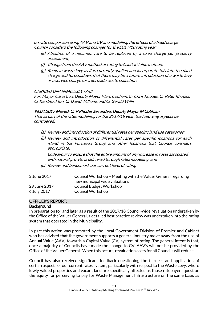on rate comparison using AAV and CV and modelling the effects of a fixed charge Council considers the following changes for the 2017/18 rating year:

- (e) Abolition of a minimum rate to be replaced by a fixed charge per property assessment;
- (f) Change from the AAV method of rating to Capital Value method;
- (g) Remove waste levy as it is currently applied and incorporate this into the fixed charge and foreshadows that there may be a future introduction of a waste levy as a service charge for a kerbside waste collection.

#### CARRIED UNANIMOUSLY (7-0)

For: Mayor Carol Cox, Deputy Mayor Marc Cobham, Cr Chris Rhodes, Cr Peter Rhodes, Cr Ken Stockton, Cr David Williams and Cr Gerald Willis.

# 96.04.2017 Moved: Cr P Rhodes Seconded: Deputy Mayor M Cobham

That as part of the rates modelling for the 2017/18 year, the following aspects be considered:

- (a) Review and introduction of differential rates per specific land use categories;
- (b) Review and introduction of differential rates per specific locations for each island in the Furneaux Group and other locations that Council considers appropriate;

Endeavour to ensure that the entire amount of any increase in rates associated with natural growth is delivered through rates modelling; and

(c) Review and benchmark our current level of rating

| 2 June 2017  | Council Workshop - Meeting with the Valuer General regarding |
|--------------|--------------------------------------------------------------|
|              | new municipal wide valuations                                |
| 29 June 2017 | Council Budget Workshop                                      |
| 6 July 2017  | Council Workshop                                             |

# OFFICER'S REPORT:

#### **Background**

In preparation for and later as a result of the 2017/18 Council-wide revaluation undertaken by the Office of the Valuer General, a detailed best practice review was undertaken into the rating system that operated in the Municipality.

In part this action was promoted by the Local Government Division of Premier and Cabinet who has advised that the government supports a general industry move away from the use of Annual Value (AAV) towards a Capital Value (CV) system of rating. The general intent is that, once a majority of Councils have made the change to CV, AAV's will not be provided by the Office of the Valuer General. When this occurs, revaluation costs for all Councils will reduce.

Council has also received significant feedback questioning the fairness and application of certain aspects of our current rates system, particularly with respect to the Waste Levy, where lowly valued properties and vacant land are specifically affected as those ratepayers question the equity for perceiving to pay for Waste Management Infrastructure on the same basis as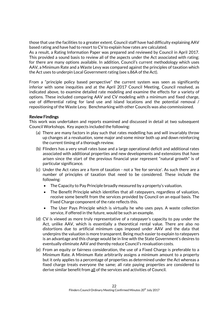those that use the facilities to a greater extent. Council staff have had difficulty explaining AAV based rating and have had to resort to CV to explain how rates are calculated.

As a result, a Rating Information Paper was prepared and reviewed by Council in April 2017. This provided a sound basis to review all of the aspects under the Act associated with rating; for there are many options available. In addition, Council's current methodology which uses AAV, a Minimum Rate and a Waste Levy was compared against the principles of taxation which the Act uses to underpin Local Government rating (see s.86A of the Act).

From a "principle policy based perspective" the current system was seen as significantly inferior with some inequities and at the April 2017 Council Meeting, Council resolved, as indicated above, to examine detailed rate modeling and examine the effects for a variety of options. These included comparing AAV and CV modeling with a minimum and fixed charge, use of differential rating for land use and island locations and the potential removal / repositioning of the Waste Levy. Benchmarking with other Councils was also commissioned.

# Review Findings

This work was undertaken and reports examined and discussed in detail at two subsequent Council Workshops. Key aspects included the following:

- (a) There are many factors in play such that rates modelling has and will invariably throw up changes at a revaluation, some major and some minor both up and down reinforcing the current timing of a thorough review.
- (b) Flinders has a very small rates base and a large operational deficit and additional rates associated with additional properties and new developments and extensions that have arisen since the start of the previous financial year represent "natural growth" is of particular significance.
- (c) Under the Act rates are a form of taxation not a 'fee for service'. As such there are a number of principles of taxation that need to be considered. These include the following:
	- The Capacity to Pay Principle broadly measured by a property's valuation.
	- The Benefit Principle which identifies that all ratepayers, regardless of valuation, receive some benefit from the services provided by Council on an equal basis. The Fixed Charge component of the rate reflects this.
	- The User Pays Principle which is virtually he who uses pays. A waste collection service, if offered in the future, would be such an example.
- (d) CV is viewed as more truly representative of a ratepayer's capacity to pay under the Act, unlike AAV, which is essentially a theoretical rental value. There are also no distortions due to artificial minimum caps imposed under AAV and the data that underpins the valuation is more transparent. Being much easier to explain to ratepayers is an advantage and this change would be in line with the State Government's desires to eventually eliminate AAV and thereby reduce Council's revaluation costs.
- (e) From an equity or fairness consideration, the use of a Fixed Charge is preferable to a Minimum Rate. A Minimum Rate arbitrarily assigns a minimum amount to a property but it only applies to a percentage of properties as determined under the Act whereas a fixed charge treats everyone the same; all rate paying properties are considered to derive similar benefit from all of the services and activities of Council.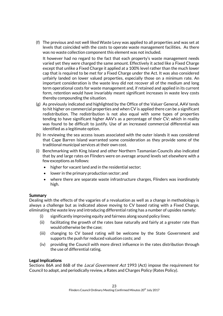(f) The previous and not well liked Waste Levy was applied to all properties and was set at levels that coincided with the costs to operate waste management facilities. As there was no waste collection component this element was not included.

It however had no regard to the fact that each property's waste management needs varied yet they were charged the same amount. Effectively it acted like a Fixed Charge except that unlike a Fixed Charge it applied at a 100% level rather than the much lower cap that is required to be met for a Fixed Charge under the Act. It was also considered unfairly landed on lower valued properties, especially those on a minimum rate. An important consideration is the waste levy did not recover all of the medium and long term operational costs for waste management and, if retained and applied in its current form, retention would have invariably meant significant increases in waste levy costs thereby compounding the situation.

- (g) As previously indicated and highlighted by the Office of the Valuer General, AAV tends to hit higher on commercial properties and when CV is applied there can be a significant redistribution. The redistribution is not also equal with some types of properties tending to have significant higher AAV's as a percentage of their CV; which in reality was found to be difficult to justify. Use of an increased commercial differential was identified as a legitimate option.
- (h) In reviewing the sea access issues associated with the outer islands it was considered that Cape Barren Island warranted some consideration as they provide some of the traditional municipal services at their own cost.
- (i) Benchmarking with King Island and other Northern Tasmanian Councils also indicated that by and large rates on Flinders were on average around levels set elsewhere with a few exceptions as follows:
	- higher for vacant land and in the residential sector;
	- lower in the primary production sector; and
	- where there are separate waste infrastructure charges, Flinders was inordinately high.

# Summary

Dealing with the effects of the vagaries of a revaluation as well as a change in methodology is always a challenge but as indicated above moving to CV based rating with a Fixed Charge, eliminating the waste levy and introducing differential rating has a number of upsides namely:

- (i) significantly improving equity and fairness along sound policy lines;
- (ii) facilitating the growth of the rates base naturally and fairly at a greater rate than would otherwise be the case;
- (iii) changing to CV based rating will be welcome by the State Government and supports the push for reduced valuation costs; and
- (iv) providing the Council with more direct influence in the rates distribution through the use of differential rating.

# Legal Implications

Sections 86A and 86B of the *Local Government Act* 1993 (Act) impose the requirement for Council to adopt, and periodically review, a Rates and Charges Policy (Rates Policy).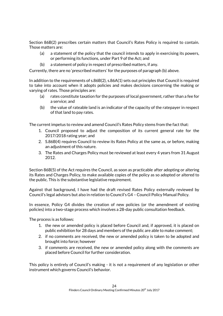Section 86B(2) prescribes certain matters that Council's Rates Policy is required to contain. Those matters are:

- (a) a statement of the policy that the council intends to apply in exercising its powers, or performing its functions, under Part 9 of the Act; and
- (b) a statement of policy in respect of prescribed matters, if any.

Currently, there are no 'prescribed matters' for the purposes of paragraph (b) above.

In addition to the requirements of s.86B(2), s.86A(1) sets out principles that Council is required to take into account when it adopts policies and makes decisions concerning the making or varying of rates. Those principles are:

- (a) rates constitute taxation for the purposes of local government, rather than a fee for a service; and
- (b) the value of rateable land is an indicator of the capacity of the ratepayer in respect of that land to pay rates.

The current impetus to review and amend Council's Rates Policy stems from the fact that:

- 1. Council proposed to adjust the composition of its current general rate for the 2017/2018 rating year; and
- 2. S.86B(4) requires Council to review its Rates Policy at the same as, or before, making an adjustment of this nature.
- 3. The Rates and Charges Policy must be reviewed at least every 4 years from 31 August 2012.

Section 86B(5) of the Act requires the Council, as soon as practicable after adopting or altering its Rates and Charges Policy, to make available copies of the policy as so adopted or altered to the public. This is the substantive legislative requirement.

Against that background, I have had the draft revised Rates Policy externally reviewed by Council's legal advisors but also in relation to Council's G4 – Council Policy Manual Policy.

In essence, Policy G4 divides the creation of new policies (or the amendment of existing policies) into a two-stage process which involves a 28-day public consultation feedback.

The process is as follows:

- 1. the new or amended policy is placed before Council and, if approved, it is placed on public exhibition for 28 days and members of the public are able to make comment;
- 2. if no comments are received, the new or amended policy is taken to be adopted and brought into force; however
- 3. if comments are received, the new or amended policy along with the comments are placed before Council for further consideration.

This policy is entirely of Council's making - it is not a requirement of any legislation or other instrument which governs Council's behavior.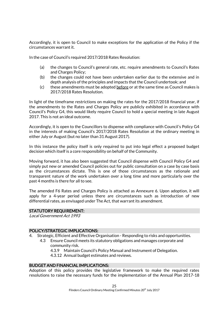Accordingly, it is open to Council to make exceptions for the application of the Policy if the circumstances warrant it.

In the case of Council's required 2017/2018 Rates Resolution:

- (a) the changes to Council's general rate, etc. require amendments to Council's Rates and Charges Policy;
- (b) the changes could not have been undertaken earlier due to the extensive and in depth analysis of the principles and impacts that the Council undertook; and
- (c) these amendments must be adopted before or at the same time as Council makes is 2017/2018 Rates Resolution.

In light of the timeframe restrictions on making the rates for the 2017/2018 financial year, if the amendments to the Rates and Charges Policy are publicly exhibited in accordance with Council's Policy G4, this would likely require Council to hold a special meeting in late August 2017. This is not an ideal outcome.

Accordingly, it is open to the Councillors to dispense with compliance with Council's Policy G4 in the interests of making Council's 2017/2018 Rates Resolution at the ordinary meeting in either July or August (but no later than 31 August 2017).

In this instance the policy itself is only required to put into legal effect a proposed budget decision which itself is a core responsibility on behalf of the Community.

Moving forward, it has also been suggested that Council dispense with Council Policy G4 and simply put new or amended Council policies out for public consultation on a case by case basis as the circumstances dictate. This is one of those circumstances as the rationale and transparent nature of the work undertaken over a long time and more particularly over the past 4 months is there for all to see.

The amended F6 Rates and Charges Policy is attached as Annexure 6. Upon adoption, it will apply for a 4-year period unless there are circumstances such as introduction of new differential rates, as envisaged under The Act, that warrant its amendment.

#### STATUTORY REQUIREMENT:

Local Government Act 1993

# POLICY/STRATEGIC IMPLICATIONS:

- 4. Strategic, Efficient and Effective Organisation Responding to risks and opportunities.
	- 4.3 Ensure Council meets its statutory obligations and manages corporate and community risk.
		- 4.3.9 Maintain Council's Policy Manual and Instrument of Delegation.
		- 4.3.12 Annual budget estimates and reviews.

### BUDGET AND FINANCIAL IMPLICATIONS:

Adoption of this policy provides the legislative framework to make the required rates resolutions to raise the necessary funds for the implementation of the Annual Plan 2017-18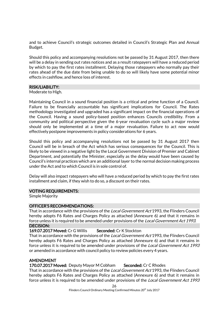and to achieve Council's strategic outcomes detailed in Council's Strategic Plan and Annual Budget.

Should this policy and accompanying resolutions not be passed by 31 August 2017, then there will be a delay in sending out rates notices and as a result ratepayers will have a reduced period by which to pay the first rates installment. Delaying those ratepayers who normally pay their rates ahead of the due date from being unable to do so will likely have some potential minor effects in cashflow, and hence loss of interest.

# RISK/LIABILITY:

Moderate to High.

Maintaining Council in a sound financial position is a critical and prime function of a Council. Failure to be financially accountable has significant implications for Council. The Rates methodology investigated and upgraded has a significant impact on the financial operations of the Council. Having a sound policy-based position enhances Councils credibility. From a community and political perspective given the 6-year revaluation cycle such a major review should only be implemented at a time of a major revaluation. Failure to act now would effectively postpone improvements in policy considerations for 6 years.

Should this policy and accompanying resolutions not be passed by 31 August 2017 then Council will be in breach of the Act which has serious consequences for the Council. This is likely to be viewed in a negative light by the Local Government Division of Premier and Cabinet Department, and potentially the Minister, especially as the delay would have been caused by Council's internal practices which are an additional layer to the normal decision making process under the Act and to which Council is in sole control of.

Delay will also impact ratepayers who will have a reduced period by which to pay the first rates installment and claim, if they wish to do so, a discount on their rates.

#### VOTING REQUIREMENTS:

Simple Majority

#### OFFICER'S RECOMMENDATIONS:

That in accordance with the provisions of the Local Government Act 1993, the Flinders Council hereby adopts F6 Rates and Charges Policy as attached (Annexure 6) and that it remains in force unless it is required to be amended under provisions of the *Local Government Act 1993*. DECISION:

# 169.07.2017 Moved: Cr G Willis Seconded: Cr K Stockton

That in accordance with the provisions of the Local Government Act 1993, the Flinders Council hereby adopts F6 Rates and Charges Policy as attached (Annexure 6) and that it remains in force unless it is required to be amended under provisions of the *Local Government Act 1993* or amended in accordance with council policy to review policies every 4 years.

# AMENDMENT

170.07.2017 Moved: Deputy Mayor M Cobham Seconded: Cr C Rhodes

That in accordance with the provisions of the *Local Government Act* 1993, the Flinders Council hereby adopts F6 Rates and Charges Policy as attached (Annexure 6) and that it remains in force unless it is required to be amended under provisions of the *Local Government Act 1993*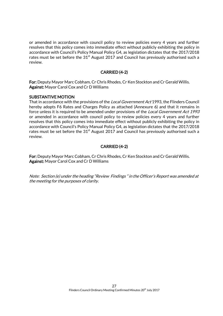or amended in accordance with council policy to review policies every 4 years and further resolves that this policy comes into immediate effect without publicly exhibiting the policy in accordance with Council's Policy Manual Policy G4, as legislation dictates that the 2017/2018 rates must be set before the  $31<sup>st</sup>$  August 2017 and Council has previously authorised such a review.

# CARRIED (4-2)

For: Deputy Mayor Marc Cobham, Cr Chris Rhodes, Cr Ken Stockton and Cr Gerald Willis. Against: Mayor Carol Cox and Cr D Williams

# SUBSTANTIVE MOTION

That in accordance with the provisions of the *Local Government Act* 1993, the Flinders Council hereby adopts F6 Rates and Charges Policy as attached (Annexure 6) and that it remains in force unless it is required to be amended under provisions of the *Local Government Act 1993* or amended in accordance with council policy to review policies every 4 years and further resolves that this policy comes into immediate effect without publicly exhibiting the policy in accordance with Council's Policy Manual Policy G4, as legislation dictates that the 2017/2018 rates must be set before the  $31<sup>st</sup>$  August 2017 and Council has previously authorised such a review.

# CARRIED (4-2)

For: Deputy Mayor Marc Cobham, Cr Chris Rhodes, Cr Ken Stockton and Cr Gerald Willis. Against: Mayor Carol Cox and Cr D Williams

Note: Section (e) under the heading "Review Findings " in the Officer's Report was amended at the meeting for the purposes of clarity.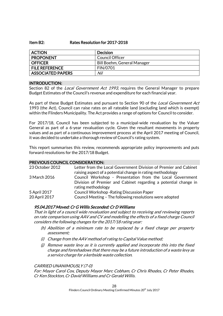## Item B2: Rates Resolution for 2017-2018

| <b>ACTION</b>            | Decision                    |
|--------------------------|-----------------------------|
| <b>PROPONENT</b>         | Council Officer             |
| <b>OFFICER</b>           | Bill Boehm, General Manager |
| <b>FILE REFERENCE</b>    | <b>FIN/0701</b>             |
| <b>ASSOCIATED PAPERS</b> | Nil                         |

## INTRODUCTION:

Section 82 of the Local Government Act 1993, requires the General Manager to prepare Budget Estimates of the Council's revenue and expenditure for each financial year.

As part of these Budget Estimates and pursuant to Section 90 of the Local Government Act 1993 (the Act), Council can raise rates on all rateable land (excluding land which is exempt) within the Flinders Municipality. The Act provides a range of options for Council to consider.

For 2017/18, Council has been subjected to a municipal-wide revaluation by the Valuer General as part of a 6-year revaluation cycle. Given the resultant movements in property values and as part of a continuous improvement process at the April 2017 meeting of Council, it was decided to undertake a thorough review of Council's rating system.

This report summarises this review, recommends appropriate policy improvements and puts forward resolutions for the 2017/18 Budget.

# PREVIOUS COUNCIL CONSIDERATION:

| 23 October 2012 | Letter from the Local Government Division of Premier and Cabinet |  |
|-----------------|------------------------------------------------------------------|--|
|                 | raising aspect of a potential change in rating methodology       |  |
| 3 March 2016    | Council Workshop - Presentation from the Local Government        |  |
|                 | Division of Premier and Cabinet regarding a potential change in  |  |
|                 | rating methodology                                               |  |
| 5 April 2017    | <b>Council Workshop - Rating Discussion Paper</b>                |  |
| 20 April 2017   | Council Meeting - The following resolutions were adopted         |  |

# 95.04.2017 Moved: Cr G Willis Seconded: Cr D Williams

That in light of a council wide revaluation and subject to receiving and reviewing reports on rate comparison using AAV and CV and modelling the effects of a fixed charge Council considers the following changes for the 2017/18 rating year:

- (h) Abolition of a minimum rate to be replaced by a fixed charge per property assessment;
- (i) Change from the AAV method of rating to Capital Value method;
- (j) Remove waste levy as it is currently applied and incorporate this into the fixed charge and foreshadows that there may be a future introduction of a waste levy as a service charge for a kerbside waste collection.

#### CARRIED UNANIMOUSLY (7-0)

For: Mayor Carol Cox, Deputy Mayor Marc Cobham, Cr Chris Rhodes, Cr Peter Rhodes, Cr Ken Stockton, Cr David Williams and Cr Gerald Willis.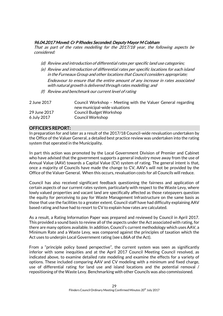# 96.04.2017 Moved: Cr P Rhodes Seconded: Deputy Mayor M Cobham

That as part of the rates modelling for the 2017/18 year, the following aspects be considered:

- (d) Review and introduction of differential rates per specific land use categories;
- (e) Review and introduction of differential rates per specific locations for each island in the Furneaux Group and other locations that Council considers appropriate; Endeavour to ensure that the entire amount of any increase in rates associated with natural growth is delivered through rates modelling; and
- (f) Review and benchmark our current level of rating

| 2 June 2017  | Council Workshop - Meeting with the Valuer General regarding<br>new municipal-wide valuations |  |
|--------------|-----------------------------------------------------------------------------------------------|--|
| 29 June 2017 | Council Budget Workshop                                                                       |  |
| 6 July 2017  | Council Workshop                                                                              |  |

# OFFICER'S REPORT:

In preparation for and later as a result of the 2017/18 Council-wide revaluation undertaken by the Office of the Valuer General, a detailed best practice review was undertaken into the rating system that operated in the Municipality.

In part this action was promoted by the Local Government Division of Premier and Cabinet who have advised that the government supports a general industry move away from the use of Annual Value (AAV) towards a Capital Value (CV) system of rating. The general intent is that, once a majority of Councils have made the change to CV, AAV's will not be provided by the Office of the Valuer General. When this occurs, revaluation costs for all Councils will reduce.

Council has also received significant feedback questioning the fairness and application of certain aspects of our current rates system, particularly with respect to the Waste Levy, where lowly valued properties and vacant land are specifically affected as those ratepayers question the equity for perceiving to pay for Waste Management Infrastructure on the same basis as those that use the facilities to a greater extent. Council staff have had difficulty explaining AAV based rating and have had to resort to CV to explain how rates are calculated.

As a result, a Rating Information Paper was prepared and reviewed by Council in April 2017. This provided a sound basis to review all of the aspects under the Act associated with rating, for there are many options available. In addition, Council's current methodology which uses AAV, a Minimum Rate and a Waste Levy, was compared against the principles of taxation which the Act uses to underpin Local Government rating (see s.86A of the Act).

From a "principle policy based perspective", the current system was seen as significantly inferior with some inequities and at the April 2017 Council Meeting Council resolved, as indicated above, to examine detailed rate modeling and examine the effects for a variety of options. These included comparing AAV and CV modeling with a minimum and fixed charge, use of differential rating for land use and island locations and the potential removal / repositioning of the Waste Levy. Benchmarking with other Councils was also commissioned.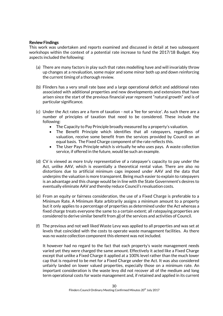# Review Findings

This work was undertaken and reports examined and discussed in detail at two subsequent workshops within the context of a potential rate increase to fund the 2017/18 Budget. Key aspects included the following:

- (a) There are many factors in play such that rates modelling have and will invariably throw up changes at a revaluation, some major and some minor both up and down reinforcing the current timing of a thorough review.
- (b) Flinders has a very small rate base and a large operational deficit and additional rates associated with additional properties and new developments and extensions that have arisen since the start of the previous financial year represent "natural growth" and is of particular significance.
- (c) Under the Act rates are a form of taxation not a 'fee for service'. As such there are a number of principles of taxation that need to be considered. These include the following:
	- The Capacity to Pay Principle broadly measured by a property's valuation.
	- The Benefit Principle which identifies that all ratepayers, regardless of valuation, receive some benefit from the services provided by Council on an equal basis. The Fixed Charge component of the rate reflects this.
	- The User Pays Principle which is virtually he who uses pays. A waste collection service, if offered in the future, would be such an example.
- (d) CV is viewed as more truly representative of a ratepayer's capacity to pay under the Act, unlike AAV, which is essentially a theoretical rental value. There are also no distortions due to artificial minimum caps imposed under AAV and the data that underpins the valuation is more transparent. Being much easier to explain to ratepayers is an advantage and this change would be in line with the State Government's desires to eventually eliminate AAV and thereby reduce Council's revaluation costs.
- (e) From an equity or fairness consideration, the use of a Fixed Charge is preferable to a Minimum Rate. A Minimum Rate arbitrarily assigns a minimum amount to a property but it only applies to a percentage of properties as determined under the Act whereas a fixed charge treats everyone the same to a certain extent; all ratepaying properties are considered to derive similar benefit from all of the services and activities of Council.
- (f) The previous and not well liked Waste Levy was applied to all properties and was set at levels that coincided with the costs to operate waste management facilities. As there was no waste collection component this element was not included.

It however had no regard to the fact that each property's waste management needs varied yet they were charged the same amount. Effectively it acted like a Fixed Charge except that unlike a Fixed Charge it applied at a 100% level rather than the much lower cap that is required to be met for a Fixed Charge under the Act. It was also considered unfairly landed on lower valued properties, especially those on a minimum rate. An important consideration is the waste levy did not recover all of the medium and long term operational costs for waste management and, if retained and applied in its current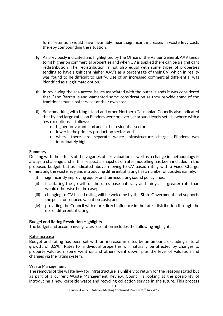form, retention would have invariably meant significant increases in waste levy costs thereby compounding the situation.

- (g) As previously indicated and highlighted by the Office of the Valuer General, AAV tends to hit higher on commercial properties and when CV is applied there can be a significant redistribution. The redistribution is not also equal with some types of properties tending to have significant higher AAV's as a percentage of their CV; which in reality was found to be difficult to justify. Use of an increased commercial differential was identified as a legitimate option.
- (h) In reviewing the sea access issues associated with the outer islands it was considered that Cape Barren Island warranted some consideration as they provide some of the traditional municipal services at their own cost.
- (i) Benchmarking with King Island and other Northern Tasmanian Councils also indicated that by and large rates on Flinders were on average around levels set elsewhere with a few exceptions as follows:
	- higher for vacant land and in the residential sector;
	- lower in the primary production sector; and
	- where there are separate waste infrastructure charges Flinders was inordinately high.

# **Summary**

Dealing with the effects of the vagaries of a revaluation as well as a change in methodology is always a challenge and in this respect a snapshot of rates modelling has been included in the proposed budget, but as indicated above, moving to CV based rating with a Fixed Charge, eliminating the waste levy and introducing differential rating has a number of upsides namely:

- (i) significantly improving equity and fairness along sound policy lines;
- (ii) facilitating the growth of the rates base naturally and fairly at a greater rate than would otherwise be the case;
- (iii) changing to CV based rating will be welcome by the State Government and supports the push for reduced valuation costs; and
- (iv) providing the Council with more direct influence in the rates distribution through the use of differential rating.

# Budget and Rating Resolution Highlights

The budget and accompanying rates resolution includes the following highlights:

# Rate Increase

Budget and rating has been set with an increase in rates by an amount, excluding natural growth, of 3.5%. Rates for individual properties will naturally be affected by changes to property valuation (some went up and others went down) plus the level of valuation and changes via the rating system.

#### Waste Management

The removal of the waste levy for infrastructure is unlikely to return for the reasons stated but as part of a current Waste Management Review, Council is looking at the possibility of introducing a new kerbside waste and recycling collection service in the future. This process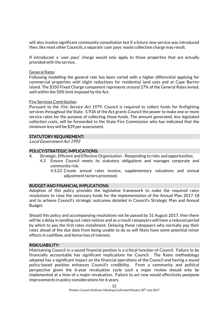will also involve significant community consultation but if a future new service was introduced then, like most other Councils, a separate 'user pays' waste collection charge may result.

If introduced, a 'user pays' charge would only apply to those properties that are actually provided with the service.

# General Rates

Following modelling the general rate has been varied with a higher differential applying for commercial properties with slight reductions for residential land uses and at Cape Barren Island. The \$350 Fixed Charge component represents around 27% of the General Rates levied, well within the 50% limit imposed by the Act.

## Fire Services Contribution

Pursuant to the *Fire Service Act* 1979, Council is required to collect funds for firefighting services throughout the State. S.93A of the Act grants Council the power to make one or more service rates for the purpose of collecting those funds. The amount generated, less legislated collection costs, will be forwarded to the State Fire Commission who has indicated that the minimum levy will be \$39 per assessment.

# STATUTORY REQUIREMENT:

Local Government Act 1993

# POLICY/STRATEGIC IMPLICATIONS:

- 4. Strategic, Efficient and Effective Organisation Responding to risks and opportunities.
	- 4.3 Ensure Council meets its statutory obligations and manages corporate and community risk.
		- 4.3.23 Create annual rates invoice, supplementary valuations and annual adjustment factors processed.

# BUDGET AND FINANCIAL IMPLICATIONS:

Adoption of this policy provides the legislative framework to make the required rates resolutions to raise the necessary funds for the implementation of the Annual Plan 2017-18 and to achieve Council's strategic outcomes detailed in Council's Strategic Plan and Annual Budget.

Should this policy and accompanying resolutions not be passed by 31 August 2017, then there will be a delay in sending out rates notices and as a result ratepayers will have a reduced period by which to pay the first rates installment. Delaying those ratepayers who normally pay their rates ahead of the due date from being unable to do so will likely have some potential minor effects in cashflow, and hence loss of interest.

# RISK/LIABILITY:

Maintaining Council in a sound financial position is a critical function of Council. Failure to be financially accountable has significant implications for Council. The Rates methodology adopted has a significant impact on the financial operations of the Council and having a sound policy-based position enhances Council's credibility. From a community and political perspective given the 6-year revaluation cycle such a major review should only be implemented at a time of a major revaluation. Failure to act now would effectively postpone improvements in policy considerations for 6 years.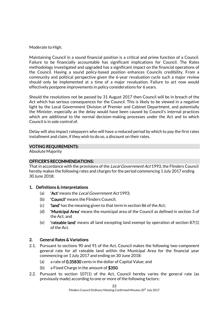Moderate to High.

Maintaining Council in a sound financial position is a critical and prime function of a Council. Failure to be financially accountable has significant implications for Council. The Rates methodology investigated and upgraded has a significant impact on the financial operations of the Council. Having a sound policy-based position enhances Councils credibility. From a community and political perspective given the 6-year revaluation cycle such a major review should only be implemented at a time of a major revaluation. Failure to act now would effectively postpone improvements in policy considerations for 6 years.

Should the resolutions not be passed by 31 August 2017 then Council will be in breach of the Act which has serious consequences for the Council. This is likely to be viewed in a negative light by the Local Government Division of Premier and Cabinet Department, and potentially the Minister, especially as the delay would have been caused by Council's internal practices which are additional to the normal decision-making processes under the Act and to which Council is in sole control of.

Delay will also impact ratepayers who will have a reduced period by which to pay the first rates installment and claim, if they wish to do so, a discount on their rates.

# VOTING REQUIREMENTS:

Absolute Majority

# OFFICER'S RECOMMENDATIONS:

That in accordance with the provisions of the *Local Government Act* 1993, the Flinders Council hereby makes the following rates and charges for the period commencing 1July 2017 ending 30 June 2018:

# 1. Definitions & Interpretations

- (a) **'Act'** means the *Local Government Act* 1993;
- (b) 'Council' means the Flinders Council;
- (c) 'land' has the meaning given to that term in section 86 of the Act;
- (d) 'Municipal Area' means the municipal area of the Council as defined in section 3 of the Act; and
- (e) 'rateable land' means all land excepting land exempt by operation of section 87(1) of the Act.

# 2. General Rates & Variations

- 2.1. Pursuant to sections 90 and 91 of the Act, Council makes the following two-component general rate for all rateable land within the Municipal Area for the financial year commencing on 1July 2017 and ending on 30 June 2018:
	- (a) a rate of 0.35830 cents in the dollar of Capital Value; and
	- (b) a Fixed Charge in the amount of \$350.
- 2.2. Pursuant to section 107(1) of the Act, Council hereby varies the general rate (as previously made) according to one or more of the following factors: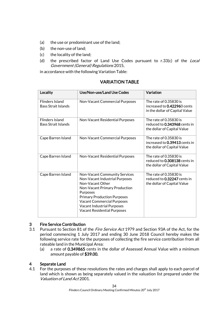- (a) the use or predominant use of the land;
- (b) the non-use of land;
- (c) the locality of the land;
- (d) the prescribed factor of Land Use Codes pursuant to r.33(c) of the Local Government (General) Regulations 2015,

in accordance with the following Variation Table:

| Locality                                             | Use/Non-use/Land Use Codes                                                                                                                                                                                                                                                                    | Variation                                                                               |
|------------------------------------------------------|-----------------------------------------------------------------------------------------------------------------------------------------------------------------------------------------------------------------------------------------------------------------------------------------------|-----------------------------------------------------------------------------------------|
| <b>Flinders Island</b><br><b>Bass Strait Islands</b> | Non-Vacant Commercial Purposes                                                                                                                                                                                                                                                                | The rate of 0.35830 is<br>increased to 0.422960 cents<br>in the dollar of Capital Value |
| <b>Flinders Island</b><br><b>Bass Strait Islands</b> | Non-Vacant Residential Purposes                                                                                                                                                                                                                                                               | The rate of 0.35830 is<br>reduced to 0.343968 cents in<br>the dollar of Capital Value   |
| Cape Barren Island                                   | Non-Vacant Commercial Purposes                                                                                                                                                                                                                                                                | The rate of 0.35830 is<br>increased to 0.39413 cents in<br>the dollar of Capital Value  |
| Cape Barren Island                                   | Non-Vacant Residential Purposes                                                                                                                                                                                                                                                               | The rate of 0.35830 is<br>reduced to 0.308138 cents in<br>the dollar of Capital Value   |
| Cape Barren Island                                   | Non-Vacant Community Services<br>Non-Vacant Industrial Purposes<br>Non-Vacant Other<br>Non-Vacant Primary Production<br><b>Purposes</b><br><b>Primary Production Purposes</b><br><b>Vacant Commercial Purposes</b><br><b>Vacant Industrial Purposes</b><br><b>Vacant Residential Purposes</b> | The rate of 0.35830 is<br>reduced to 0.32247 cents in<br>the dollar of Capital Value    |

# VARIATION TABLE

# 3 Fire Service Contribution

- 3.1 Pursuant to Section 81 of the *Fire Service Act* 1979 and Section 93A of the Act, for the period commencing 1 July 2017 and ending 30 June 2018 Council hereby makes the following service rate for the purposes of collecting the fire service contribution from all rateable land in the Municipal Area:
	- (a) a rate of 0.349865 cents in the dollar of Assessed Annual Value with a minimum amount payable of \$39.00.

# 4 Separate Land

4.1 For the purposes of these resolutions the rates and charges shall apply to each parcel of land which is shown as being separately valued in the valuation list prepared under the Valuation of Land Act 2001.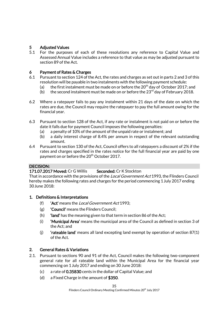# 5 Adjusted Values

5.1 For the purposes of each of these resolutions any reference to Capital Value and Assessed Annual Value includes a reference to that value as may be adjusted pursuant to section 89 of the Act.

# 6 Payment of Rates & Charges

- 6.1 Pursuant to section 124 of the Act, the rates and charges as set out in parts 2 and 3 of this resolution will be payable in two instalments with the following payment schedule:
	- (a) the first instalment must be made on or before the  $20<sup>th</sup>$  day of October 2017; and
	- (b) the second instalment must be made on or before the  $23<sup>rd</sup>$  day of February 2018.
- 6.2 Where a ratepayer fails to pay any instalment within 21 days of the date on which the rates are due, the Council may require the ratepayer to pay the full amount owing for the financial year.
- 6.3 Pursuant to section 128 of the Act, if any rate or instalment is not paid on or before the date it falls due for payment Council imposes the following penalties:
	- (a) a penalty of 10% of the amount of the unpaid rate or instalment; and
	- (b) a daily interest charge of 8.4% per annum in respect of the relevant outstanding amount.
- 6.4 Pursuant to section 130 of the Act, Council offers to all ratepayers a discount of 2% if the rates and charges specified in the rates notice for the full financial year are paid by one payment on or before the 20<sup>th</sup> October 2017.

# DECISION:

# 171.07.2017 Moved: Cr G Willis Seconded: Cr K Stockton

That in accordance with the provisions of the Local Government Act 1993, the Flinders Council hereby makes the following rates and charges for the period commencing 1July 2017 ending 30June 2018:

# 1. Definitions & Interpretations

- (f)  $'$ **Act'** means the *Local Government Act* 1993;
- (g) 'Council' means the Flinders Council;
- $(h)$  'land' has the meaning given to that term in section 86 of the Act;
- (i) 'Municipal Area' means the municipal area of the Council as defined in section 3 of the Act; and
- (i)  $\cdot$  'rateable land' means all land excepting land exempt by operation of section 87(1) of the Act.

# 2. General Rates & Variations

- 2.1. Pursuant to sections 90 and 91 of the Act, Council makes the following two-component general rate for all rateable land within the Municipal Area for the financial year commencing on 1July 2017 and ending on 30 June 2018:
	- (c) a rate of 0.35830 cents in the dollar of Capital Value; and
	- (d) a Fixed Charge in the amount of \$350.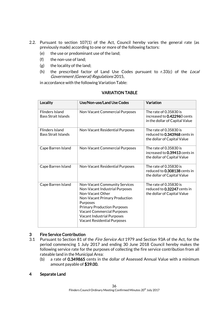- 2.2. Pursuant to section 107(1) of the Act, Council hereby varies the general rate (as previously made) according to one or more of the following factors:
	- (e) the use or predominant use of the land;
	- (f) the non-use of land;
	- (g) the locality of the land;
	- (h) the prescribed factor of Land Use Codes pursuant to r.33(c) of the Local Government (General) Regulations 2015,

in accordance with the following Variation Table:

| Locality                                      | Use/Non-use/Land Use Codes                                                                                                                                                                                                                                                                    | Variation                                                                               |
|-----------------------------------------------|-----------------------------------------------------------------------------------------------------------------------------------------------------------------------------------------------------------------------------------------------------------------------------------------------|-----------------------------------------------------------------------------------------|
| <b>Flinders Island</b><br>Bass Strait Islands | Non-Vacant Commercial Purposes                                                                                                                                                                                                                                                                | The rate of 0.35830 is<br>increased to 0.422960 cents<br>in the dollar of Capital Value |
| <b>Flinders Island</b><br>Bass Strait Islands | Non-Vacant Residential Purposes                                                                                                                                                                                                                                                               | The rate of 0.35830 is<br>reduced to 0.343968 cents in<br>the dollar of Capital Value   |
| Cape Barren Island                            | Non-Vacant Commercial Purposes                                                                                                                                                                                                                                                                | The rate of 0.35830 is<br>increased to 0.39413 cents in<br>the dollar of Capital Value  |
| Cape Barren Island                            | Non-Vacant Residential Purposes                                                                                                                                                                                                                                                               | The rate of 0.35830 is<br>reduced to 0.308138 cents in<br>the dollar of Capital Value   |
| Cape Barren Island                            | Non-Vacant Community Services<br>Non-Vacant Industrial Purposes<br>Non-Vacant Other<br>Non-Vacant Primary Production<br><b>Purposes</b><br><b>Primary Production Purposes</b><br><b>Vacant Commercial Purposes</b><br><b>Vacant Industrial Purposes</b><br><b>Vacant Residential Purposes</b> | The rate of 0.35830 is<br>reduced to 0.32247 cents in<br>the dollar of Capital Value    |

# VARIATION TABLE

# 3 Fire Service Contribution

- 3.1 Pursuant to Section 81 of the Fire Service Act 1979 and Section 93A of the Act, for the period commencing 1 July 2017 and ending 30 June 2018 Council hereby makes the following service rate for the purposes of collecting the fire service contribution from all rateable land in the Municipal Area:
	- (b) a rate of 0.349865 cents in the dollar of Assessed Annual Value with a minimum amount payable of \$39.00.

# 4 Separate Land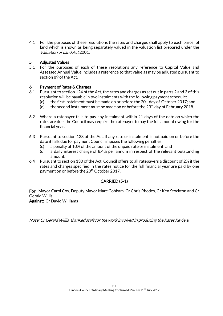4.1 For the purposes of these resolutions the rates and charges shall apply to each parcel of land which is shown as being separately valued in the valuation list prepared under the Valuation of Land Act 2001.

# 5 Adjusted Values

5.1 For the purposes of each of these resolutions any reference to Capital Value and Assessed Annual Value includes a reference to that value as may be adjusted pursuant to section 89 of the Act.

# 6 Payment of Rates & Charges

- 6.1 Pursuant to section 124 of the Act, the rates and charges as set out in parts 2 and 3 of this resolution will be payable in two instalments with the following payment schedule:
	- (c) the first instalment must be made on or before the  $20<sup>th</sup>$  day of October 2017; and
	- (d) the second instalment must be made on or before the  $23<sup>rd</sup>$  day of February 2018.
- 6.2 Where a ratepayer fails to pay any instalment within 21 days of the date on which the rates are due, the Council may require the ratepayer to pay the full amount owing for the financial year.
- 6.3 Pursuant to section 128 of the Act, if any rate or instalment is not paid on or before the date it falls due for payment Council imposes the following penalties:
	- (c) a penalty of 10% of the amount of the unpaid rate or instalment; and
	- (d) a daily interest charge of 8.4% per annum in respect of the relevant outstanding amount.
- 6.4 Pursuant to section 130 of the Act, Council offers to all ratepayers a discount of 2% if the rates and charges specified in the rates notice for the full financial year are paid by one payment on or before the 20<sup>th</sup> October 2017.

# CARRIED (5-1)

For: Mayor Carol Cox, Deputy Mayor Marc Cobham, Cr Chris Rhodes, Cr Ken Stockton and Cr Gerald Willis.

Against: Cr David Williams

Note: Cr Gerald Willis thanked staff for the work involved in producing the Rates Review.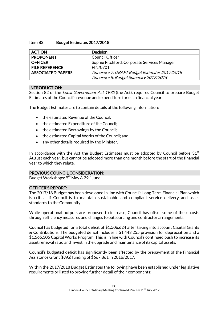# Item B3: Budget Estimates 2017/2018

| <b>ACTION</b>            | <b>Decision</b>                              |
|--------------------------|----------------------------------------------|
| <b>PROPONENT</b>         | <b>Council Officer</b>                       |
| <b>OFFICER</b>           | Sophie Pitchford, Corporate Services Manager |
| <b>FILE REFERENCE</b>    | FIN/0701                                     |
| <b>ASSOCIATED PAPERS</b> | Annexure 7: DRAFT Budget Estimates 2017/2018 |
|                          | Annexure 8: Budget Summary 2017/2018         |

# INTRODUCTION:

Section 82 of the *Local Government Act 1993* (the Act), requires Council to prepare Budget Estimates of the Council's revenue and expenditure for each financial year.

The Budget Estimates are to contain details of the following information:

- the estimated Revenue of the Council:
- the estimated Expenditure of the Council;
- the estimated Borrowings by the Council;
- the estimated Capital Works of the Council; and
- any other details required by the Minister.

In accordance with the Act the Budget Estimates must be adopted by Council before  $31<sup>st</sup>$ August each year, but cannot be adopted more than one month before the start of the financial year to which they relate.

#### PREVIOUS COUNCIL CONSIDERATION:

Budget Workshops:  $9^{th}$  May &  $29^{th}$  June

#### OFFICER'S REPORT:

The 2017/18 Budget has been developed in line with Council's Long Term Financial Plan which is critical if Council is to maintain sustainable and compliant service delivery and asset standards to the Community.

While operational outputs are proposed to increase, Council has offset some of these costs through efficiency measures and changes to outsourcing and contractor arrangements.

Council has budgeted for a total deficit of \$1,506,624 after taking into account Capital Grants & Contributions. The budgeted deficit includes a \$1,443,255 provision for depreciation and a \$1,565,305 Capital Works Program. This is in line with Council's continued push to increase its asset renewal ratio and invest in the upgrade and maintenance of its capital assets.

Council's budgeted deficit has significantly been affected by the prepayment of the Financial Assistance Grant (FAG) funding of \$667,861 in 2016/2017.

Within the 2017/2018 Budget Estimates the following have been established under legislative requirements or listed to provide further detail of their components: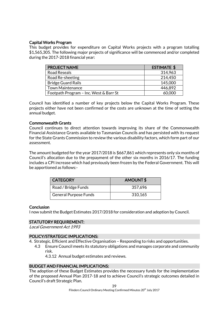# Capital Works Program

This budget provides for expenditure on Capital Works projects with a program totalling \$1,565,305. The following major projects of significance will be commenced and/or completed during the 2017-2018 financial year:

| <b>PROJECT NAME</b>                    | <b>ESTIMATE \$</b> |
|----------------------------------------|--------------------|
| <b>Road Reseals</b>                    | 314,963            |
| Road Re-sheeting                       | 214,450            |
| <b>Bridge Guard Rails</b>              | 145,000            |
| <b>Town Maintenance</b>                | 446,892            |
| Footpath Program - Inc. West & Barr St | 60,000             |

Council has identified a number of key projects below the Capital Works Program. These projects either have not been confirmed or the costs are unknown at the time of setting the annual budget.

# Commonwealth Grants

Council continues to direct attention towards improving its share of the Commonwealth Financial Assistance Grants available to Tasmanian Councils and has persisted with its request for the State Grants Commission to review the various disability factors, which form part of our assessment.

The amount budgeted for the year 2017/2018 is \$667,861 which represents only six months of Council's allocation due to the prepayment of the other six months in 2016/17. The funding includes a CPI increase which had previously been frozen by the Federal Government. This will be apportioned as follows:-

| <b>CATEGORY</b>              | AMOUNT\$ |
|------------------------------|----------|
| Road / Bridge Funds          | 357,696  |
| <b>General Purpose Funds</b> | 310,165  |

# **Conclusion**

I now submit the Budget Estimates 2017/2018 for consideration and adoption by Council.

# STATUTORY REQUIREMENT:

Local Government Act 1993

# POLICY/STRATEGIC IMPLICATIONS:

- 4. Strategic, Efficient and Effective Organisation Responding to risks and opportunities.
	- 4.3 Ensure Council meets its statutory obligations and manages corporate and community risk.

4.3.12 Annual budget estimates and reviews.

# BUDGET AND FINANCIAL IMPLICATIONS:

The adoption of these Budget Estimates provides the necessary funds for the implementation of the proposed Annual Plan 2017-18 and to achieve Council's strategic outcomes detailed in Council's draft Strategic Plan.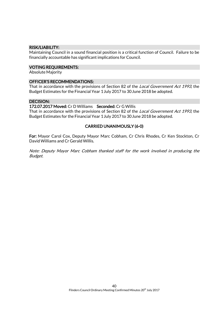# RISK/LIABILITY:

Maintaining Council in a sound financial position is a critical function of Council. Failure to be financially accountable has significant implications for Council.

## VOTING REQUIREMENTS:

Absolute Majority

# OFFICER'S RECOMMENDATIONS:

That in accordance with the provisions of Section 82 of the Local Government Act 1993, the Budget Estimates for the Financial Year 1July 2017 to 30June 2018 be adopted.

## DECISION:

## 172.07.2017 Moved: Cr D Williams Seconded: Cr G Willis

That in accordance with the provisions of Section 82 of the Local Government Act 1993, the Budget Estimates for the Financial Year 1July 2017 to 30June 2018 be adopted.

# CARRIED UNANIMOUSLY (6-0)

For: Mayor Carol Cox, Deputy Mayor Marc Cobham, Cr Chris Rhodes, Cr Ken Stockton, Cr David Williams and Cr Gerald Willis.

Note: Deputy Mayor Marc Cobham thanked staff for the work involved in producing the Budget.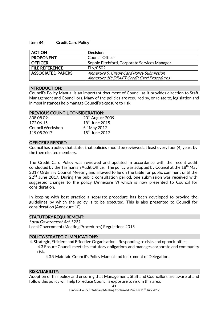## Item B4: Credit Card Policy

| <b>ACTION</b>            | <b>Decision</b>                                  |
|--------------------------|--------------------------------------------------|
| <b>PROPONENT</b>         | <b>Council Officer</b>                           |
| <b>OFFICER</b>           | Sophie Pitchford, Corporate Services Manager     |
| <b>FILE REFERENCE</b>    | FIN/0502                                         |
| <b>ASSOCIATED PAPERS</b> | <b>Annexure 9: Credit Card Policy Submission</b> |
|                          | Annexure 10: DRAFT Credit Card Procedures        |

## INTRODUCTION:

Council's Policy Manual is an important document of Council as it provides direction to Staff, Management and Councillors. Many of the policies are required by, or relate to, legislation and in most instances help manage Council's exposure to risk.

## PREVIOUS COUNCIL CONSIDERATION:

| 20 <sup>th</sup> August 2009 |
|------------------------------|
| $18th$ June 2015             |
| $5th$ May 2017               |
| $15th$ June 2017             |
|                              |

## OFFICER'S REPORT:

Council has a policy that states that policies should be reviewed at least every four (4) years by the then elected members.

The Credit Card Policy was reviewed and updated in accordance with the recent audit conducted by the Tasmanian Audit Office. The policy was adopted by Council at the 18<sup>th</sup> May 2017 Ordinary Council Meeting and allowed to lie on the table for public comment until the  $22<sup>nd</sup>$  June 2017. During the public consultation period, one submission was received with suggested changes to the policy (Annexure 9) which is now presented to Council for consideration.

In keeping with best practice a separate procedure has been developed to provide the guidelines by which the policy is to be executed. This is also presented to Council for consideration (Annexure 10).

#### STATUTORY REQUIREMENT:

Local Government Act 1993 Local Government (Meeting Procedures) Regulations 2015

#### POLICY/STRATEGIC IMPLICATIONS:

4. Strategic, Efficient and Effective Organisation - Responding to risks and opportunities.

4.3 Ensure Council meets its statutory obligations and manages corporate and community risk.

4.3.9 Maintain Council's Policy Manual and Instrument of Delegation.

# RISK/LIABILITY:

Adoption of this policy and ensuring that Management, Staff and Councillors are aware of and follow this policy will help to reduce Council's exposure to risk in this area.

41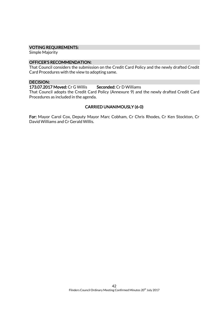# VOTING REQUIREMENTS:

Simple Majority

## OFFICER'S RECOMMENDATION:

That Council considers the submission on the Credit Card Policy and the newly drafted Credit Card Procedures with the view to adopting same.

#### DECISION:

173.07.2017 Moved: Cr G Willis Seconded: Cr D Williams

That Council adopts the Credit Card Policy (Annexure 9) and the newly drafted Credit Card Procedures as included in the agenda.

# CARRIED UNANIMOUSLY (6-0)

For: Mayor Carol Cox, Deputy Mayor Marc Cobham, Cr Chris Rhodes, Cr Ken Stockton, Cr David Williams and Cr Gerald Willis.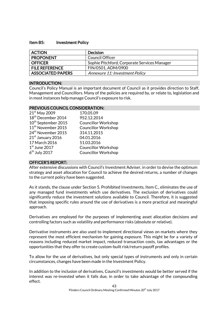## Item B5: Investment Policy

| <b>ACTION</b>            | <b>Decision</b>                              |
|--------------------------|----------------------------------------------|
| <b>PROPONENT</b>         | Council Officer                              |
| <b>OFFICER</b>           | Sophie Pitchford, Corporate Services Manager |
| <b>FILE REFERENCE</b>    | FIN/0501, ADM/0900                           |
| <b>ASSOCIATED PAPERS</b> | Annexure 11: Investment Policy               |

# INTRODUCTION:

Council's Policy Manual is an important document of Council as it provides direction to Staff, Management and Councillors. Many of the policies are required by, or relate to, legislation and in most instances help manage Council's exposure to risk.

# PREVIOUS COUNCIL CONSIDERATION:

| $21st$ May 2009                 | 170.05.09                  |
|---------------------------------|----------------------------|
| 18 <sup>th</sup> December 2014  | 952.12.2014                |
| 10 <sup>th</sup> September 2015 | <b>Councillor Workshop</b> |
| 11 <sup>th</sup> November 2015  | <b>Councillor Workshop</b> |
| 24 <sup>th</sup> November 2015  | 314.11.2015                |
| 21 <sup>st</sup> January 2016   | 04.01.2016                 |
| 17 March 2016                   | 51.03.2016                 |
| $1st$ June 2017                 | <b>Councillor Workshop</b> |
| $6th$ July 2017                 | <b>Councillor Workshop</b> |

# OFFICER'S REPORT:

After extensive discussions with Council's Investment Adviser, in order to devise the optimum strategy and asset allocation for Council to achieve the desired returns, a number of changes to the current policy have been suggested.

As it stands, the clause under Section 5. Prohibited Investments, Item C., eliminates the use of any managed fund investments which use derivatives. The exclusion of derivatives could significantly reduce the investment solutions available to Council. Therefore, it is suggested that imposing specific rules around the use of derivatives is a more practical and meaningful approach.

Derivatives are employed for the purposes of implementing asset allocation decisions and controlling factors such as volatility and performance risks (absolute or relative).

Derivative instruments are also used to implement directional views on markets where they represent the most efficient mechanism for gaining exposure. This might be for a variety of reasons including reduced market impact, reduced transaction costs, tax advantages or the opportunities that they offer to create custom-built risk/return payoff profiles.

To allow for the use of derivatives, but only special types of instruments and only in certain circumstances, changes have been made in the Investment Policy.

In addition to the inclusion of derivatives, Council's investments would be better served if the interest was re-invested when it falls due, in order to take advantage of the compounding effect.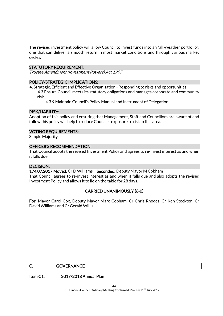The revised investment policy will allow Council to invest funds into an "all-weather portfolio"; one that can deliver a smooth return in most market conditions and through various market cycles.

# STATUTORY REQUIREMENT:

Trustee Amendment (Investment Powers) Act 1997

# POLICY/STRATEGIC IMPLICATIONS:

4. Strategic, Efficient and Effective Organisation - Responding to risks and opportunities. 4.3 Ensure Council meets its statutory obligations and manages corporate and community risk.

4.3.9 Maintain Council's Policy Manual and Instrument of Delegation.

## RISK/LIABILITY:

Adoption of this policy and ensuring that Management, Staff and Councillors are aware of and follow this policy will help to reduce Council's exposure to risk in this area.

## VOTING REQUIREMENTS:

Simple Majority

# OFFICER'S RECOMMENDATION:

That Council adopts the revised Investment Policy and agrees to re-invest interest as and when it falls due.

# DECISION:

174.07.2017 Moved: Cr D Williams Seconded: Deputy Mayor M Cobham

That Council agrees to re-invest interest as and when it falls due and also adopts the revised Investment Policy and allows it to lie on the table for 28 days.

# CARRIED UNANIMOUSLY (6-0)

For: Mayor Carol Cox, Deputy Mayor Marc Cobham, Cr Chris Rhodes, Cr Ken Stockton, Cr David Williams and Cr Gerald Willis.

#### C. GOVERNANCE

Item C1: 2017/2018 Annual Plan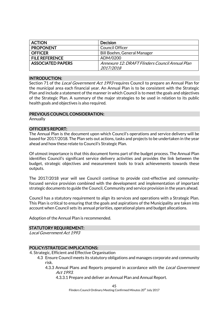| <b>ACTION</b>            | <b>Decision</b>                                 |
|--------------------------|-------------------------------------------------|
| <b>PROPONENT</b>         | <b>Council Officer</b>                          |
| <b>OFFICER</b>           | <b>Bill Boehm, General Manager</b>              |
| <b>FILE REFERENCE</b>    | ADM/0200                                        |
| <b>ASSOCIATED PAPERS</b> | Annexure 12: DRAFT Flinders Council Annual Plan |
|                          | 2017/2018                                       |

## INTRODUCTION:

Section 71 of the *Local Government Act 1993* requires Council to prepare an Annual Plan for the municipal area each financial year. An Annual Plan is to be consistent with the Strategic Plan and include a statement of the manner in which Council is to meet the goals and objectives of the Strategic Plan. A summary of the major strategies to be used in relation to its public health goals and objectives is also required.

# PREVIOUS COUNCIL CONSIDERATION:

Annually

# OFFICER'S REPORT:

The Annual Plan is the document upon which Council's operations and service delivery will be based for 2017/2018. The Plan sets out actions, tasks and projects to be undertaken in the year ahead and how these relate to Council's Strategic Plan.

Of utmost importance is that this document forms part of the budget process. The Annual Plan identifies Council's significant service delivery activities and provides the link between the budget, strategic objectives and measurement tools to track achievements towards these outputs.

The 2017/2018 year will see Council continue to provide cost-effective and communityfocused service provision combined with the development and implementation of important strategic documents to guide the Council, Community and service provision in the years ahead.

Council has a statutory requirement to align its services and operations with a Strategic Plan. This Plan is critical to ensuring that the goals and aspirations of the Municipality are taken into account when Council sets its annual priorities, operational plans and budget allocations.

Adoption of the Annual Plan is recommended.

# STATUTORY REQUIREMENT:

Local Government Act 1993

# POLICY/STRATEGIC IMPLICATIONS:

4. Strategic, Efficient and Effective Organisation

- 4.3 Ensure Council meets its statutory obligations and manages corporate and community risk.
	- 4.3.3 Annual Plans and Reports prepared in accordance with the *Local Government* Act 1993.
		- 4.3.3.1 Prepare and deliver an Annual Plan and Annual Report.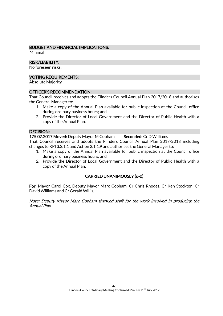# BUDGET AND FINANCIAL IMPLICATIONS:

Minimal

# RISK/LIABILITY:

No foreseen risks.

# VOTING REQUIREMENTS:

Absolute Majority

# OFFICER'S RECOMMENDATION:

That Council receives and adopts the Flinders Council Annual Plan 2017/2018 and authorises the General Manager to:

- 1. Make a copy of the Annual Plan available for public inspection at the Council office during ordinary business hours; and
- 2. Provide the Director of Local Government and the Director of Public Health with a copy of the Annual Plan.

# DECISION:

175.07.2017 Moved: Deputy Mayor M Cobham Seconded: Cr D Williams

That Council receives and adopts the Flinders Council Annual Plan 2017/2018 including changes to KPI 3.2.1.1 and Action 2.1.1.9 and authorises the General Manager to:

- 1. Make a copy of the Annual Plan available for public inspection at the Council office during ordinary business hours; and
- 2. Provide the Director of Local Government and the Director of Public Health with a copy of the Annual Plan.

# CARRIED UNANIMOUSLY (6-0)

For: Mayor Carol Cox, Deputy Mayor Marc Cobham, Cr Chris Rhodes, Cr Ken Stockton, Cr David Williams and Cr Gerald Willis.

Note: Deputy Mayor Marc Cobham thanked staff for the work involved in producing the Annual Plan.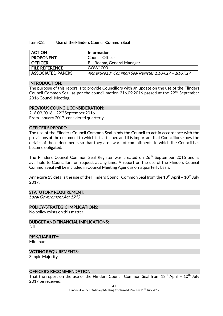#### Item C2: Use of the Flinders Council Common Seal

| <b>ACTION</b>            | Information                                          |
|--------------------------|------------------------------------------------------|
| <b>PROPONENT</b>         | Council Officer                                      |
| <b>OFFICER</b>           | Bill Boehm, General Manager                          |
| <b>FILE REFERENCE</b>    | GOV/1000                                             |
| <b>ASSOCIATED PAPERS</b> | Annexure13: Common Seal Register 13.04.17 - 10.07.17 |

## INTRODUCTION:

The purpose of this report is to provide Councillors with an update on the use of the Flinders Council Common Seal, as per the council motion 216.09.2016 passed at the  $22<sup>nd</sup>$  September 2016 Council Meeting.

## PREVIOUS COUNCIL CONSIDERATION:

216.09.2016 22nd September 2016 From January 2017, considered quarterly.

# OFFICER'S REPORT:

The use of the Flinders Council Common Seal binds the Council to act in accordance with the provisions of the document to which it is attached and it is important that Councillors know the details of those documents so that they are aware of commitments to which the Council has become obligated.

The Flinders Council Common Seal Register was created on 26<sup>th</sup> September 2016 and is available to Councillors on request at any time. A report on the use of the Flinders Council Common Seal will be included in Council Meeting Agendas on a quarterly basis.

Annexure 13 details the use of the Flinders Council Common Seal from the  $13<sup>th</sup>$  April -  $10<sup>th</sup>$  July 2017.

# STATUTORY REQUIREMENT:

Local Government Act 1993

# POLICY/STRATEGIC IMPLICATIONS:

No policy exists on this matter.

BUDGET AND FINANCIAL IMPLICATIONS: Nil

# RISK/LIABILITY:

Minimum

# VOTING REQUIREMENTS:

Simple Majority

# OFFICER'S RECOMMENDATION:

That the report on the use of the Flinders Council Common Seal from  $13<sup>th</sup>$  April -  $10<sup>th</sup>$  July 2017 be received.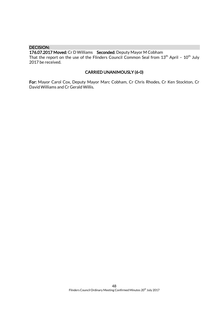# DECISION:

176.07.2017 Moved: Cr D Williams Seconded: Deputy Mayor M Cobham

That the report on the use of the Flinders Council Common Seal from  $13<sup>th</sup>$  April -  $10<sup>th</sup>$  July 2017 be received.

# CARRIED UNANIMOUSLY (6-0)

For: Mayor Carol Cox, Deputy Mayor Marc Cobham, Cr Chris Rhodes, Cr Ken Stockton, Cr David Williams and Cr Gerald Willis.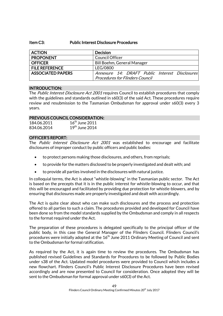# Item C3: Public Interest Disclosure Procedures

| <b>ACTION</b>            | <b>Decision</b>                                |
|--------------------------|------------------------------------------------|
| <b>PROPONENT</b>         | <b>Council Officer</b>                         |
| <b>OFFICER</b>           | Bill Boehm, General Manager                    |
| <b>FILE REFERENCE</b>    | LEG/0800                                       |
| <b>ASSOCIATED PAPERS</b> | Annexure 14: DRAFT Public Interest Disclosures |
|                          | <b>Procedures for Flinders Council</b>         |

# INTRODUCTION:

The Public Interest Disclosure Act 2001 requires Council to establish procedures that comply with the guidelines and standards outlined in s60(3) of the said Act. These procedures require review and resubmission to the Tasmanian Ombudsman for approval under s60(3) every 3 years.

# PREVIOUS COUNCIL CONSIDERATION:

| 184.06.2011 | $16th$ June 2011 |
|-------------|------------------|
| 834.06.2014 | $19th$ June 2014 |

# OFFICER'S REPORT:

The Public Interest Disclosure Act 2001 was established to encourage and facilitate disclosures of improper conduct by public officers and public bodies:

- to protect persons making those disclosures, and others, from reprisals;
- to provide for the matters disclosed to be properly investigated and dealt with; and
- to provide all parties involved in the disclosures with natural justice.

In colloquial terms, the Act is about "whistle-blowing" in the Tasmanian public sector. The Act is based on the precepts that it is in the public interest for whistle-blowing to occur, and that this will be encouraged and facilitated by providing due protection for whistle-blowers, and by ensuring that disclosures made are properly investigated and dealt with accordingly.

The Act is quite clear about who can make such disclosures and the process and protection offered to all parties to such a claim. The procedures provided and developed for Council have been done so from the model standards supplied by the Ombudsman and comply in all respects to the format required under the Act.

The preparation of these procedures is delegated specifically to the principal officer of the public body, in this case the General Manager of the Flinders Council. Flinders Council's procedures were initially adopted at the 16<sup>th</sup> June 2011 Ordinary Meeting of Council and sent to the Ombudsman for formal ratification.

As required by the Act, it is again time to review the procedures. The Ombudsman has published revised Guidelines and Standards for Procedures to be followed by Public Bodies under s38 of the Act. Updated model procedures were provided to Council which includes a new flowchart. Flinders Council's Public Interest Disclosure Procedures have been revised accordingly and are now presented to Council for consideration. Once adopted they will be sent to the Ombudsman for formal approval under s60(3) of the Act.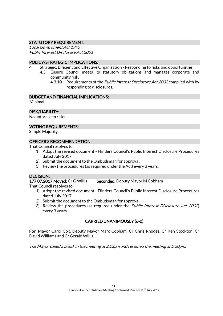# STATUTORY REQUIREMENT:

Local Government Act 1993 Public Interest Disclosure Act 2001

# POLICY/STRATEGIC IMPLICATIONS:

- 4. Strategic, Efficient and Effective Organisation Responding to risks and opportunities.
	- 4.3 Ensure Council meets its statutory obligations and manages corporate and community risk.
		- 4.3.10 Requirements of the *Public Interest Disclosure Act 2002* complied with by responding to disclosures.

# BUDGET AND FINANCIAL IMPLICATIONS:

Minimal

# RISK/LIABILITY:

No unforeseen risks

# VOTING REQUIREMENTS:

Simple Majority

# OFFICER'S RECOMMENDATION:

That Council resolves to:

- 1) Adopt the revised document Flinders Council's Public Interest Disclosure Procedures dated July 2017
- 2) Submit the document to the Ombudsman for approval.
- 3) Review the procedures (as required under the Act) every 3 years.

# DECISION:

177.07.2017 Moved: Cr G Willis Seconded: Deputy Mayor M Cobham

That Council resolves to:

- 1) Adopt the revised document Flinders Council's Public Interest Disclosure Procedures dated July 2017
- 2) Submit the document to the Ombudsman for approval.
- 3) Review the procedures (as required under the Public Interest Disclosure Act 2002) every 3 years.

# CARRIED UNANIMOUSLY (6-0)

For: Mayor Carol Cox, Deputy Mayor Marc Cobham, Cr Chris Rhodes, Cr Ken Stockton, Cr David Williams and Cr Gerald Willis.

The Mayor called a break in the meeting at 2.22pm and resumed the meeting at 2.30pm.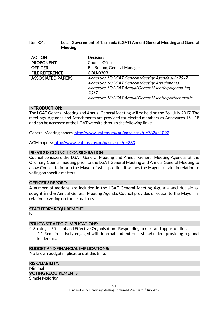# Item C4: Local Government of Tasmania (LGAT) Annual General Meeting and General Meeting

| <b>ACTION</b>            | <b>Decision</b>                                      |
|--------------------------|------------------------------------------------------|
| <b>PROPONENT</b>         | Council Officer                                      |
| <b>OFFICER</b>           | <b>Bill Boehm, General Manager</b>                   |
| <b>FILE REFERENCE</b>    | COU/0303                                             |
| <b>ASSOCIATED PAPERS</b> | Annexure 15: LGAT General Meeting Agenda July 2017   |
|                          | Annexure 16: LGAT General Meeting Attachments        |
|                          | Annexure 17: LGAT Annual General Meeting Agenda July |
|                          | 2017                                                 |
|                          | Annexure 18: LGAT Annual General Meeting Attachments |

# INTRODUCTION:

The LGAT General Meeting and Annual General Meeting will be held on the 26<sup>th</sup> July 2017. The meetings' Agendas and Attachments are provided for elected members as Annexures 15 - 18 and can be accessed at the LGAT website through the following links:

General Meeting papers[: http://www.lgat.tas.gov.au/page.aspx?u=782#e1092](http://www.lgat.tas.gov.au/page.aspx?u=782#e1092)

AGM papers: <http://www.lgat.tas.gov.au/page.aspx?u=333>

# PREVIOUS COUNCIL CONSIDERATION:

Council considers the LGAT General Meeting and Annual General Meeting Agendas at the Ordinary Council meeting prior to the LGAT General Meeting and Annual General Meeting to allow Council to inform the Mayor of what position it wishes the Mayor to take in relation to voting on specific matters.

## OFFICER'S REPORT:

A number of motions are included in the LGAT General Meeting Agenda and decisions sought in the Annual General Meeting Agenda. Council provides direction to the Mayor in relation to voting on these matters.

# STATUTORY REQUIREMENT:

Nil

# POLICY/STRATEGIC IMPLICATIONS:

4. Strategic, Efficient and Effective Organisation - Responding to risks and opportunities. 4.1 Remain actively engaged with internal and external stakeholders providing regional leadership.

# BUDGET AND FINANCIAL IMPLICATIONS:

No known budget implications at this time.

#### RISK/LIABILITY:

# Minimal

# VOTING REQUIREMENTS:

Simple Majority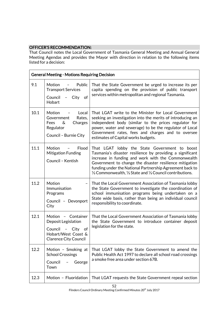# OFFICER'S RECOMMENDATION:

That Council notes the Local Government of Tasmania General Meeting and Annual General Meeting Agendas and provides the Mayor with direction in relation to the following items listed for a decision:

| <b>General Meeting - Motions Requiring Decision</b> |                                                                                                                             |                                                                                                                                                                                                                                                                                                                                                                                           |
|-----------------------------------------------------|-----------------------------------------------------------------------------------------------------------------------------|-------------------------------------------------------------------------------------------------------------------------------------------------------------------------------------------------------------------------------------------------------------------------------------------------------------------------------------------------------------------------------------------|
| 9.1                                                 | Motion<br>Public<br><b>Transport Services</b><br>Council<br>City<br>of<br>Hobart                                            | That the State Government be urged to increase its per<br>capita spending on the provision of public transport<br>services within metropolitan and regional Tasmania.                                                                                                                                                                                                                     |
| 10.1                                                | Motion<br>Local<br>Government<br>Rates,<br>Fees<br>&<br>Charges<br>Regulator<br>Council - Burnie City                       | That LGAT write to the Minister for Local Government<br>seeking an investigation into the merits of introducing an<br>independent body (similar to the prices regulator for<br>power, water and sewerage) to be the regulator of Local<br>Government rates, fees and charges and to oversee<br>estimates of Capital works budgets.                                                        |
| 11.1                                                | Motion<br>Flood<br>$\qquad \qquad -$<br><b>Mitigation Funding</b><br>Council - Kentish                                      | That LGAT lobby the State Government to boost<br>Tasmania's disaster resilience by providing a significant<br>increase in funding and work with the Commonwealth<br>Government to change the disaster resilience mitigation<br>funding under the National Partnership Agreement back to<br>1/ <sub>3</sub> Commonwealth, 1/ <sub>3</sub> State and 1/ <sub>3</sub> Council contributions. |
| 11.2                                                | Motion<br>Immunisation<br>Programs<br>Council - Devonport<br>City                                                           | That the Local Government Association of Tasmania lobby<br>the State Government to investigate the coordination of<br>school immunisation programs being undertaken on a<br>State wide basis, rather than being an individual council<br>responsibility to coordinate.                                                                                                                    |
| 12.1                                                | Motion - Container<br>Deposit Legislation<br>Council -<br>City<br>of<br>Hobart/West Coast &<br><b>Clarence City Council</b> | That the Local Government Association of Tasmania lobby<br>the State Government to introduce container deposit<br>legislation for the state.                                                                                                                                                                                                                                              |
| 12.2                                                | Motion - Smoking at<br><b>School Crossings</b><br>Council<br>George<br>Town                                                 | That LGAT lobby the State Government to amend the<br>Public Health Act 1997 to declare all school road crossings<br>a smoke free area under section 67B.                                                                                                                                                                                                                                  |
| 12.3                                                | Motion - Fluoridation                                                                                                       | That LGAT requests the State Government repeal section                                                                                                                                                                                                                                                                                                                                    |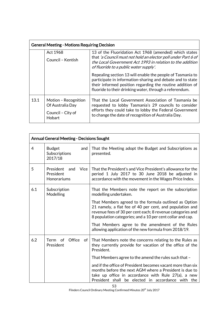| <b>General Meeting - Motions Requiring Decision</b> |                                                                         |                                                                                                                                                                                                                                                  |
|-----------------------------------------------------|-------------------------------------------------------------------------|--------------------------------------------------------------------------------------------------------------------------------------------------------------------------------------------------------------------------------------------------|
|                                                     | Act 1968<br>Council - Kentish                                           | 13 of the Fluoridation Act 1968 (amended) which states<br>that 'a Council must not hold an elector poll under Part 6 of<br>the Local Government Act 1993 in relation to the addition<br>of fluoride to a public water supply'.                   |
|                                                     |                                                                         | Repealing section 13 will enable the people of Tasmania to<br>participate in information-sharing and debate and to state<br>their informed position regarding the routine addition of<br>fluoride to their drinking water, through a referendum. |
| 13.1                                                | Motion - Recognition<br>Of Australia Day<br>Council - City of<br>Hobart | That the Local Government Association of Tasmania be<br>requested to lobby Tasmania's 29 councils to consider<br>efforts they could take to lobby the Federal Government<br>to change the date of recognition of Australia Day.                  |

| <b>Annual General Meeting - Decisions Sought</b> |                                                             |                                                                                                                                                                                                                                               |
|--------------------------------------------------|-------------------------------------------------------------|-----------------------------------------------------------------------------------------------------------------------------------------------------------------------------------------------------------------------------------------------|
| $\overline{4}$                                   | <b>Budget</b><br>and<br>Subscriptions<br>2017/18            | That the Meeting adopt the Budget and Subscriptions as<br>presented.                                                                                                                                                                          |
| 5                                                | President<br><b>Vice</b><br>and<br>President<br>Honorariums | That the President's and Vice President's allowance for the<br>period 1 July 2017 to 30 June 2018 be adjusted in<br>accordance with the movement in the Wages Price Index.                                                                    |
| 6.1                                              | Subscription<br>Modelling                                   | That the Members note the report on the subscription<br>modelling undertaken.                                                                                                                                                                 |
|                                                  |                                                             | That Members agreed to the formula outlined as Option<br>21 namely, a flat fee of 40 per cent, and population and<br>revenue fees of 30 per cent each; 8 revenue categories and<br>8 population categories; and a 10 per cent collar and cap. |
|                                                  |                                                             | That Members agree to the amendment of the Rules<br>allowing application of the new formula from 2018/19.                                                                                                                                     |
| 6.2                                              | Office<br>Term of<br>of<br>President                        | That Members note the concerns relating to the Rules as<br>they currently provide for vacation of the office of the<br>President.                                                                                                             |
|                                                  |                                                             | That Members agree to the amend the rules such that -                                                                                                                                                                                         |
|                                                  |                                                             | and if the office of President becomes vacant more than six<br>months before the next AGM where a President is due to<br>take up office in accordance with Rule 27(a), a new<br>President shall be elected in accordance with the             |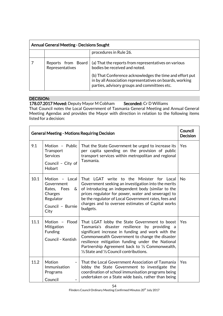| <b>Annual General Meeting - Decisions Sought</b> |                                       |                                                                                                                                                                      |
|--------------------------------------------------|---------------------------------------|----------------------------------------------------------------------------------------------------------------------------------------------------------------------|
|                                                  |                                       | procedures in Rule 26.                                                                                                                                               |
|                                                  | Reports from Board<br>Representatives | (a) That the reports from representatives on various<br>bodies be received and noted.                                                                                |
|                                                  |                                       | (b) That Conference acknowledges the time and effort put<br>in by all Association representatives on boards, working<br>parties, advisory groups and committees etc. |

# DECISION:

178.07.2017 Moved: Deputy Mayor M Cobham Seconded: Cr D Williams

That Council notes the Local Government of Tasmania General Meeting and Annual General Meeting Agendas and provides the Mayor with direction in relation to the following items listed for a decision:

| <b>General Meeting - Motions Requiring Decision</b> |                                                                                                      |                                                                                                                                                                                                                                                                                                                                                                              | Council<br><b>Decision</b> |
|-----------------------------------------------------|------------------------------------------------------------------------------------------------------|------------------------------------------------------------------------------------------------------------------------------------------------------------------------------------------------------------------------------------------------------------------------------------------------------------------------------------------------------------------------------|----------------------------|
| 9.1                                                 | Motion - Public<br>Transport<br><b>Services</b><br>Council - City of<br>Hobart                       | That the State Government be urged to increase its<br>per capita spending on the provision of public<br>transport services within metropolitan and regional<br>Tasmania.                                                                                                                                                                                                     | Yes                        |
| 10.1                                                | Motion - Local<br>Government<br>Rates, Fees<br>&<br>Charges<br>Regulator<br>Council - Burnie<br>City | That LGAT write to the Minister for Local<br>Government seeking an investigation into the merits<br>of introducing an independent body (similar to the<br>prices regulator for power, water and sewerage) to<br>be the regulator of Local Government rates, fees and<br>charges and to oversee estimates of Capital works<br>budgets.                                        | <b>No</b>                  |
| 11.1                                                | Flood<br>Motion -<br>Mitigation<br><b>Funding</b><br>Council - Kentish                               | That LGAT lobby the State Government to boost<br>Tasmania's disaster resilience by providing a<br>significant increase in funding and work with the<br>Commonwealth Government to change the disaster<br>resilience mitigation funding under the National<br>Partnership Agreement back to 1/3 Commonwealth,<br>$\frac{1}{3}$ State and $\frac{1}{3}$ Council contributions. | Yes                        |
| 11.2                                                | Motion<br>$\qquad \qquad -$<br>Immunisation<br>Programs<br>Council                                   | That the Local Government Association of Tasmania<br>lobby the State Government to investigate the<br>coordination of school immunisation programs being<br>undertaken on a State wide basis, rather than being                                                                                                                                                              | Yes                        |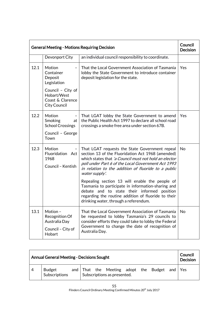| <b>General Meeting - Motions Requiring Decision</b> |                                                                                                               |                                                                                                                                                                                                                                                                                                                                                                                                                                                                                                                                                    | Council<br><b>Decision</b> |
|-----------------------------------------------------|---------------------------------------------------------------------------------------------------------------|----------------------------------------------------------------------------------------------------------------------------------------------------------------------------------------------------------------------------------------------------------------------------------------------------------------------------------------------------------------------------------------------------------------------------------------------------------------------------------------------------------------------------------------------------|----------------------------|
|                                                     | Devonport City                                                                                                | an individual council responsibility to coordinate.                                                                                                                                                                                                                                                                                                                                                                                                                                                                                                |                            |
| 12.1                                                | Motion<br>$\overline{\phantom{a}}$<br>Container<br>Deposit<br>Legislation<br>Council - City of<br>Hobart/West | That the Local Government Association of Tasmania<br>lobby the State Government to introduce container<br>deposit legislation for the state.                                                                                                                                                                                                                                                                                                                                                                                                       | Yes                        |
|                                                     | Coast & Clarence<br><b>City Council</b>                                                                       |                                                                                                                                                                                                                                                                                                                                                                                                                                                                                                                                                    |                            |
| 12.2                                                | Motion<br><b>Smoking</b><br>at<br><b>School Crossings</b><br>Council - George<br>Town                         | That LGAT lobby the State Government to amend<br>the Public Health Act 1997 to declare all school road<br>crossings a smoke free area under section 67B.                                                                                                                                                                                                                                                                                                                                                                                           | Yes                        |
| 12.3                                                | Motion<br>$\overline{\phantom{a}}$<br>Fluoridation Act<br>1968<br>Council - Kentish                           | That LGAT requests the State Government repeal<br>section 13 of the Fluoridation Act 1968 (amended)<br>which states that 'a Council must not hold an elector<br>poll under Part 6 of the Local Government Act 1993<br>in relation to the addition of fluoride to a public<br>water supply'.<br>Repealing section 13 will enable the people of<br>Tasmania to participate in information-sharing and<br>debate and to state their informed position<br>regarding the routine addition of fluoride to their<br>drinking water, through a referendum. | No                         |
| 13.1                                                | Motion-<br>Recognition Of<br>Australia Day<br>Council - City of<br>Hobart                                     | That the Local Government Association of Tasmania<br>be requested to lobby Tasmania's 29 councils to<br>consider efforts they could take to lobby the Federal<br>Government to change the date of recognition of<br>Australia Day.                                                                                                                                                                                                                                                                                                                 | No                         |

| <b>Annual General Meeting - Decisions Sought</b> |                         |  |  | Council<br><b>Decision</b> |                                                                              |  |  |  |  |  |
|--------------------------------------------------|-------------------------|--|--|----------------------------|------------------------------------------------------------------------------|--|--|--|--|--|
| 4                                                | Budget<br>Subscriptions |  |  |                            | and That the Meeting adopt the Budget and Yes<br>Subscriptions as presented. |  |  |  |  |  |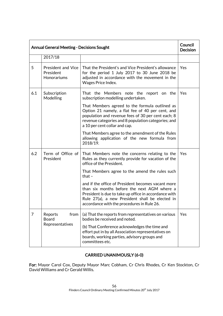| <b>Annual General Meeting - Decisions Sought</b> |                                                       |                                                                                                                                                                                                                                                                                                                                                                                                                                                                | Council<br><b>Decision</b> |
|--------------------------------------------------|-------------------------------------------------------|----------------------------------------------------------------------------------------------------------------------------------------------------------------------------------------------------------------------------------------------------------------------------------------------------------------------------------------------------------------------------------------------------------------------------------------------------------------|----------------------------|
|                                                  | 2017/18                                               |                                                                                                                                                                                                                                                                                                                                                                                                                                                                |                            |
| 5                                                | <b>President and Vice</b><br>President<br>Honorariums | That the President's and Vice President's allowance<br>for the period 1 July 2017 to 30 June 2018 be<br>adjusted in accordance with the movement in the<br>Wages Price Index.                                                                                                                                                                                                                                                                                  | Yes                        |
| 6.1                                              | Subscription<br>Modelling                             | That the Members note the report on the<br>subscription modelling undertaken.<br>That Members agreed to the formula outlined as<br>Option 21 namely, a flat fee of 40 per cent, and<br>population and revenue fees of 30 per cent each; 8<br>revenue categories and 8 population categories; and<br>a 10 per cent collar and cap.<br>That Members agree to the amendment of the Rules<br>allowing application of the new formula from<br>2018/19.              | Yes                        |
| 6.2                                              | Term of Office of<br>President                        | That Members note the concerns relating to the<br>Rules as they currently provide for vacation of the<br>office of the President.<br>That Members agree to the amend the rules such<br>that $-$<br>and if the office of President becomes vacant more<br>than six months before the next AGM where a<br>President is due to take up office in accordance with<br>Rule 27(a), a new President shall be elected in<br>accordance with the procedures in Rule 26. | Yes                        |
| 7                                                | from<br>Reports<br><b>Board</b><br>Representatives    | (a) That the reports from representatives on various<br>bodies be received and noted.<br>(b) That Conference acknowledges the time and<br>effort put in by all Association representatives on<br>boards, working parties, advisory groups and<br>committees etc.                                                                                                                                                                                               | Yes                        |

# CARRIED UNANIMOUSLY (6-0)

For: Mayor Carol Cox, Deputy Mayor Marc Cobham, Cr Chris Rhodes, Cr Ken Stockton, Cr David Williams and Cr Gerald Willis.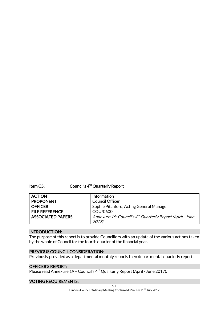Item C5: Council's 4<sup>th</sup> Quarterly Report

| <b>ACTION</b>            | Information                                                           |
|--------------------------|-----------------------------------------------------------------------|
| <b>PROPONENT</b>         | <b>Council Officer</b>                                                |
| <b>OFFICER</b>           | Sophie Pitchford, Acting General Manager                              |
| <b>FILE REFERENCE</b>    | COU/0600                                                              |
| <b>ASSOCIATED PAPERS</b> | Annexure 19: Council's 4 <sup>th</sup> Quarterly Report (April - June |
|                          | 2017)                                                                 |

# INTRODUCTION:

The purpose of this report is to provide Councillors with an update of the various actions taken by the whole of Council for the fourth quarter of the financial year.

# PREVIOUS COUNCIL CONSIDERATION:

Previously provided as a departmental monthly reports then departmental quarterly reports.

# OFFICER'S REPORT:

Please read Annexure 19 – Council's 4th Quarterly Report (April - June 2017).

# VOTING REQUIREMENTS: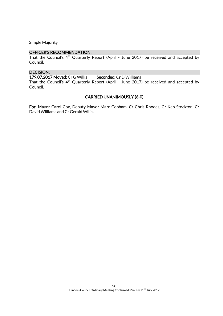Simple Majority

# OFFICER'S RECOMMENDATION:

That the Council's 4<sup>th</sup> Quarterly Report (April - June 2017) be received and accepted by Council.

## DECISION:

179.07.2017 Moved: Cr G Willis Seconded: Cr D Williams

That the Council's 4th Quarterly Report (April - June 2017) be received and accepted by Council.

#### CARRIED UNANIMOUSLY (6-0)

For: Mayor Carol Cox, Deputy Mayor Marc Cobham, Cr Chris Rhodes, Cr Ken Stockton, Cr David Williams and Cr Gerald Willis.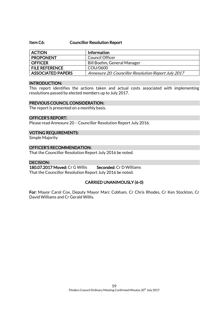### Item C6: Councillor Resolution Report

| <b>ACTION</b>            | <b>Information</b>                                  |
|--------------------------|-----------------------------------------------------|
| <b>PROPONENT</b>         | Council Officer                                     |
| <b>OFFICER</b>           | Bill Boehm, General Manager                         |
| <b>FILE REFERENCE</b>    | COU/0600                                            |
| <b>ASSOCIATED PAPERS</b> | Annexure 20: Councillor Resolution Report July 2017 |

## INTRODUCTION:

This report identifies the actions taken and actual costs associated with implementing resolutions passed by elected members up to July 2017.

## PREVIOUS COUNCIL CONSIDERATION:

The report is presented on a monthly basis.

## OFFICER'S REPORT:

Please read Annexure 20 – Councillor Resolution Report July 2016.

# VOTING REQUIREMENTS:

Simple Majority

# OFFICER'S RECOMMENDATION:

That the Councillor Resolution Report July 2016 be noted.

# DECISION:

180.07.2017 Moved: Cr G Willis Seconded: Cr D Williams That the Councillor Resolution Report July 2016 be noted.

# CARRIED UNANIMOUSLY (6-0)

For: Mayor Carol Cox, Deputy Mayor Marc Cobham, Cr Chris Rhodes, Cr Ken Stockton, Cr David Williams and Cr Gerald Willis.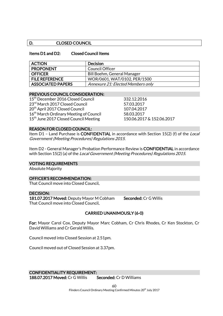# D. CLOSED COUNCIL

# Items D1 and D2: Closed Council Items

| <b>ACTION</b>            | <b>Decision</b>                   |
|--------------------------|-----------------------------------|
| <b>PROPONENT</b>         | Council Officer                   |
| <b>OFFICER</b>           | Bill Boehm, General Manager       |
| <b>FILE REFERENCE</b>    | WOR/0601, WAT/0102, PER/1500      |
| <b>ASSOCIATED PAPERS</b> | Annexure 21: Elected Members only |

## PREVIOUS COUNCIL CONSIDERATION:

15th December 2016 Closed Council 332.12.2016 23<sup>rd</sup> March 2017 Closed Council 57.03.2017 20<sup>th</sup> April 2017 Closed Council 2017 2017 16<sup>th</sup> March Ordinary Meeting of Council 58.03.2017 15th June 2017 Closed Council Meeting 150.06.2017 & 152.06.2017

# REASON FOR CLOSED COUNCIL:

Item D1 – Land Purchase is CONFIDENTIAL in accordance with Section 15(2) (f) of the Local Government (Meeting Procedures) Regulations 2015.

Item D2 - General Manager's Probation Performance Review is CONFIDENTIAL in accordance with Section 15(2) (a) of the Local Government (Meeting Procedures) Regulations 2015.

# VOTING REQUIREMENTS

Absolute Majority

# OFFICER'S RECOMMENDATION:

That Council move into Closed Council.

### DECISION:

181.07.2017 Moved: Deputy Mayor M Cobham Seconded: Cr G Willis That Council move into Closed Council.

# CARRIED UNANIMOUSLY (6-0)

For: Mayor Carol Cox, Deputy Mayor Marc Cobham, Cr Chris Rhodes, Cr Ken Stockton, Cr David Williams and Cr Gerald Willis.

Council moved into Closed Session at 2.51pm.

Council moved out of Closed Session at 3.37pm.

CONFIDENTIALITY REQUIREMENT: 188.07.2017 Moved: Cr G Willis Seconded: Cr D Williams

> $60$ Flinders Council Ordinary Meeting Confirmed Minutes 20<sup>th</sup> July 2017